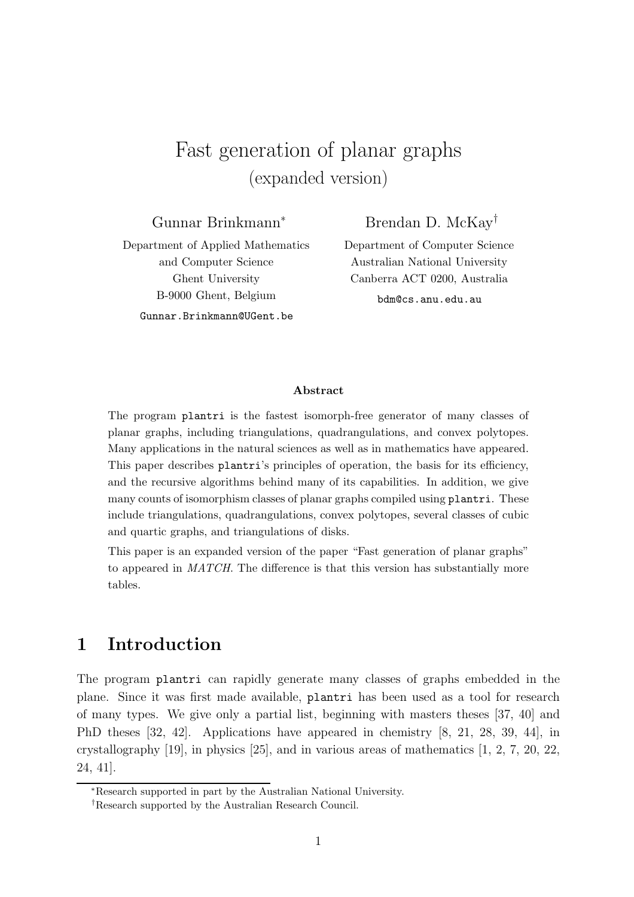# Fast generation of planar graphs (expanded version)

Gunnar Brinkmann<sup>∗</sup>

Brendan D. McKay†

Department of Applied Mathematics and Computer Science Ghent University B-9000 Ghent, Belgium Gunnar.Brinkmann@UGent.be

Department of Computer Science Australian National University Canberra ACT 0200, Australia

bdm@cs.anu.edu.au

#### Abstract

The program plantri is the fastest isomorph-free generator of many classes of planar graphs, including triangulations, quadrangulations, and convex polytopes. Many applications in the natural sciences as well as in mathematics have appeared. This paper describes plantri's principles of operation, the basis for its efficiency, and the recursive algorithms behind many of its capabilities. In addition, we give many counts of isomorphism classes of planar graphs compiled using plantri. These include triangulations, quadrangulations, convex polytopes, several classes of cubic and quartic graphs, and triangulations of disks.

This paper is an expanded version of the paper "Fast generation of planar graphs" to appeared in MATCH. The difference is that this version has substantially more tables.

### 1 Introduction

The program plantri can rapidly generate many classes of graphs embedded in the plane. Since it was first made available, plantri has been used as a tool for research of many types. We give only a partial list, beginning with masters theses [37, 40] and PhD theses [32, 42]. Applications have appeared in chemistry [8, 21, 28, 39, 44], in crystallography  $[19]$ , in physics  $[25]$ , and in various areas of mathematics  $[1, 2, 7, 20, 22,$ 24, 41].

<sup>∗</sup>Research supported in part by the Australian National University.

<sup>†</sup>Research supported by the Australian Research Council.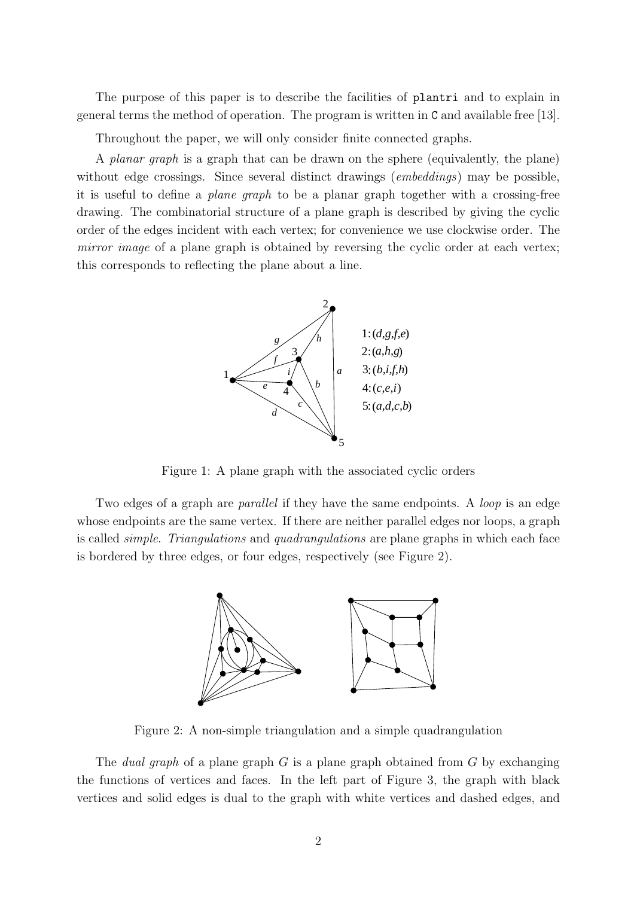The purpose of this paper is to describe the facilities of plantri and to explain in general terms the method of operation. The program is written in C and available free [13].

Throughout the paper, we will only consider finite connected graphs.

A planar graph is a graph that can be drawn on the sphere (equivalently, the plane) without edge crossings. Since several distinct drawings (*embeddings*) may be possible, it is useful to define a plane graph to be a planar graph together with a crossing-free drawing. The combinatorial structure of a plane graph is described by giving the cyclic order of the edges incident with each vertex; for convenience we use clockwise order. The mirror image of a plane graph is obtained by reversing the cyclic order at each vertex; this corresponds to reflecting the plane about a line.



Figure 1: A plane graph with the associated cyclic orders

Two edges of a graph are *parallel* if they have the same endpoints. A *loop* is an edge whose endpoints are the same vertex. If there are neither parallel edges nor loops, a graph is called simple. Triangulations and quadrangulations are plane graphs in which each face is bordered by three edges, or four edges, respectively (see Figure 2).



Figure 2: A non-simple triangulation and a simple quadrangulation

The *dual graph* of a plane graph  $G$  is a plane graph obtained from  $G$  by exchanging the functions of vertices and faces. In the left part of Figure 3, the graph with black vertices and solid edges is dual to the graph with white vertices and dashed edges, and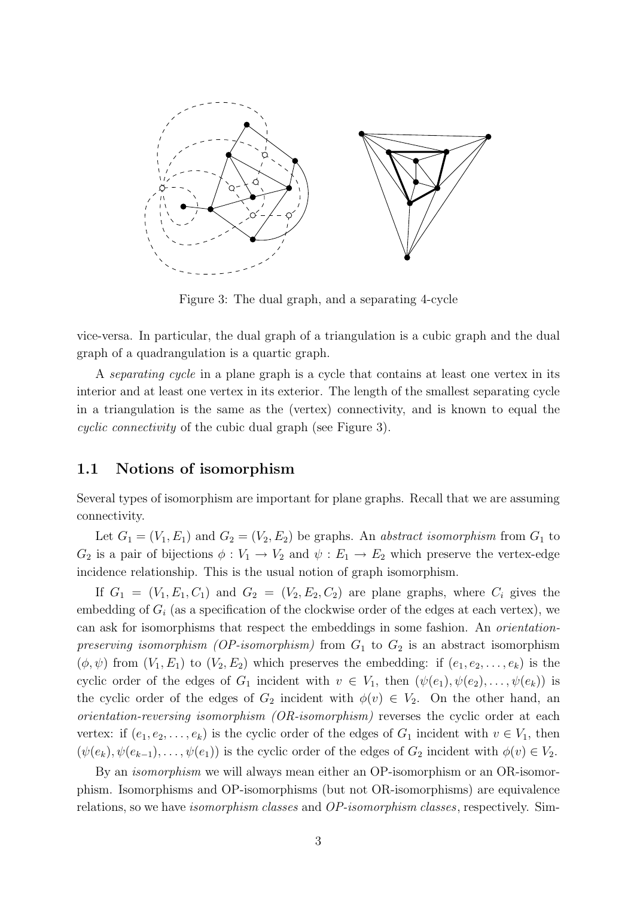

Figure 3: The dual graph, and a separating 4-cycle

vice-versa. In particular, the dual graph of a triangulation is a cubic graph and the dual graph of a quadrangulation is a quartic graph.

A separating cycle in a plane graph is a cycle that contains at least one vertex in its interior and at least one vertex in its exterior. The length of the smallest separating cycle in a triangulation is the same as the (vertex) connectivity, and is known to equal the cyclic connectivity of the cubic dual graph (see Figure 3).

#### 1.1 Notions of isomorphism

Several types of isomorphism are important for plane graphs. Recall that we are assuming connectivity.

Let  $G_1 = (V_1, E_1)$  and  $G_2 = (V_2, E_2)$  be graphs. An *abstract isomorphism* from  $G_1$  to  $G_2$  is a pair of bijections  $\phi: V_1 \to V_2$  and  $\psi: E_1 \to E_2$  which preserve the vertex-edge incidence relationship. This is the usual notion of graph isomorphism.

If  $G_1 = (V_1, E_1, C_1)$  and  $G_2 = (V_2, E_2, C_2)$  are plane graphs, where  $C_i$  gives the embedding of  $G_i$  (as a specification of the clockwise order of the edges at each vertex), we can ask for isomorphisms that respect the embeddings in some fashion. An orientationpreserving isomorphism (OP-isomorphism) from  $G_1$  to  $G_2$  is an abstract isomorphism  $(\phi, \psi)$  from  $(V_1, E_1)$  to  $(V_2, E_2)$  which preserves the embedding: if  $(e_1, e_2, \ldots, e_k)$  is the cyclic order of the edges of  $G_1$  incident with  $v \in V_1$ , then  $(\psi(e_1), \psi(e_2), \ldots, \psi(e_k))$  is the cyclic order of the edges of  $G_2$  incident with  $\phi(v) \in V_2$ . On the other hand, an orientation-reversing isomorphism (OR-isomorphism) reverses the cyclic order at each vertex: if  $(e_1, e_2, \ldots, e_k)$  is the cyclic order of the edges of  $G_1$  incident with  $v \in V_1$ , then  $(\psi(e_k), \psi(e_{k-1}), \ldots, \psi(e_1))$  is the cyclic order of the edges of  $G_2$  incident with  $\phi(v) \in V_2$ .

By an isomorphism we will always mean either an OP-isomorphism or an OR-isomorphism. Isomorphisms and OP-isomorphisms (but not OR-isomorphisms) are equivalence relations, so we have isomorphism classes and OP-isomorphism classes, respectively. Sim-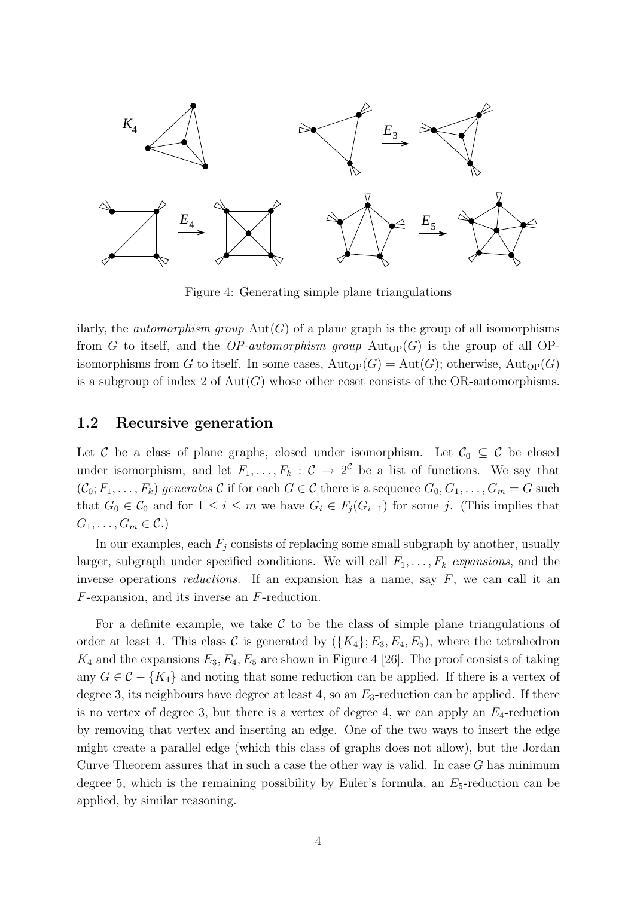

Figure 4: Generating simple plane triangulations

ilarly, the *automorphism group*  $Aut(G)$  of a plane graph is the group of all isomorphisms from G to itself, and the OP-automorphism group  $Aut_{OP}(G)$  is the group of all OPisomorphisms from G to itself. In some cases,  $\text{Aut}_{\text{OP}}(G) = \text{Aut}(G)$ ; otherwise,  $\text{Aut}_{\text{OP}}(G)$ is a subgroup of index 2 of  $Aut(G)$  whose other coset consists of the OR-automorphisms.

#### 1.2 Recursive generation

Let C be a class of plane graphs, closed under isomorphism. Let  $C_0 \subseteq C$  be closed under isomorphism, and let  $F_1, \ldots, F_k : \mathcal{C} \to 2^{\mathcal{C}}$  be a list of functions. We say that  $(\mathcal{C}_0; F_1, \ldots, F_k)$  generates C if for each  $G \in \mathcal{C}$  there is a sequence  $G_0, G_1, \ldots, G_m = G$  such that  $G_0 \in \mathcal{C}_0$  and for  $1 \leq i \leq m$  we have  $G_i \in F_j(G_{i-1})$  for some j. (This implies that  $G_1, \ldots, G_m \in \mathcal{C}$ .

In our examples, each  $F_i$  consists of replacing some small subgraph by another, usually larger, subgraph under specified conditions. We will call  $F_1, \ldots, F_k$  expansions, and the inverse operations *reductions*. If an expansion has a name, say  $F$ , we can call it an F-expansion, and its inverse an F-reduction.

For a definite example, we take  $\mathcal C$  to be the class of simple plane triangulations of order at least 4. This class C is generated by  $({K_4}; E_3, E_4, E_5)$ , where the tetrahedron  $K_4$  and the expansions  $E_3, E_4, E_5$  are shown in Figure 4 [26]. The proof consists of taking any  $G \in \mathcal{C} - \{K_4\}$  and noting that some reduction can be applied. If there is a vertex of degree 3, its neighbours have degree at least 4, so an  $E_3$ -reduction can be applied. If there is no vertex of degree 3, but there is a vertex of degree 4, we can apply an  $E_4$ -reduction by removing that vertex and inserting an edge. One of the two ways to insert the edge might create a parallel edge (which this class of graphs does not allow), but the Jordan Curve Theorem assures that in such a case the other way is valid. In case  $G$  has minimum degree 5, which is the remaining possibility by Euler's formula, an  $E_5$ -reduction can be applied, by similar reasoning.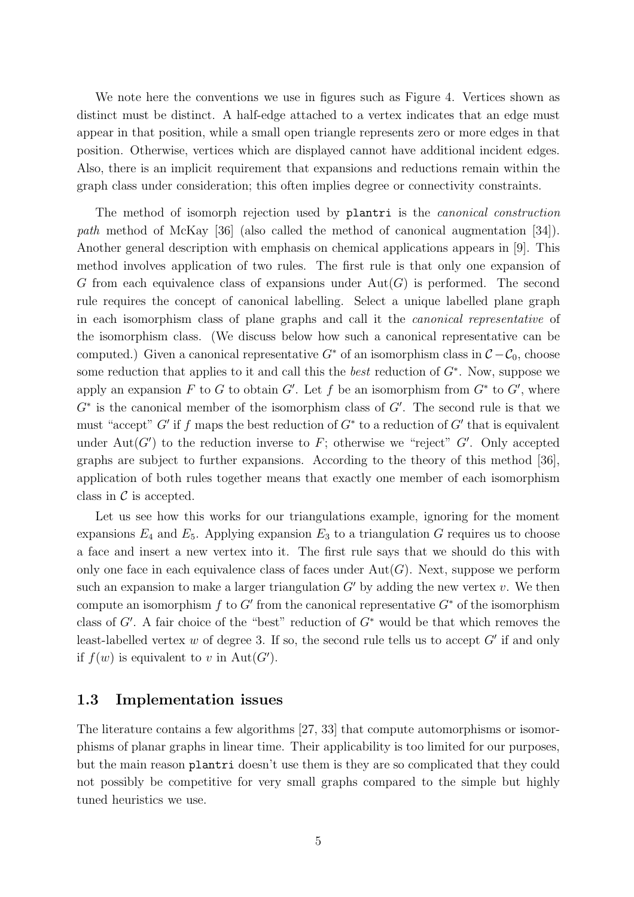We note here the conventions we use in figures such as Figure 4. Vertices shown as distinct must be distinct. A half-edge attached to a vertex indicates that an edge must appear in that position, while a small open triangle represents zero or more edges in that position. Otherwise, vertices which are displayed cannot have additional incident edges. Also, there is an implicit requirement that expansions and reductions remain within the graph class under consideration; this often implies degree or connectivity constraints.

The method of isomorph rejection used by plantri is the *canonical construction* path method of McKay [36] (also called the method of canonical augmentation [34]). Another general description with emphasis on chemical applications appears in [9]. This method involves application of two rules. The first rule is that only one expansion of G from each equivalence class of expansions under  $Aut(G)$  is performed. The second rule requires the concept of canonical labelling. Select a unique labelled plane graph in each isomorphism class of plane graphs and call it the canonical representative of the isomorphism class. (We discuss below how such a canonical representative can be computed.) Given a canonical representative  $G^*$  of an isomorphism class in  $\mathcal{C} - \mathcal{C}_0$ , choose some reduction that applies to it and call this the *best* reduction of  $G^*$ . Now, suppose we apply an expansion F to G to obtain  $G'$ . Let f be an isomorphism from  $G^*$  to  $G'$ , where  $G^*$  is the canonical member of the isomorphism class of  $G'$ . The second rule is that we must "accept"  $G'$  if f maps the best reduction of  $G^*$  to a reduction of  $G'$  that is equivalent under Aut $(G')$  to the reduction inverse to F; otherwise we "reject" G'. Only accepted graphs are subject to further expansions. According to the theory of this method [36], application of both rules together means that exactly one member of each isomorphism class in  $\mathcal C$  is accepted.

Let us see how this works for our triangulations example, ignoring for the moment expansions  $E_4$  and  $E_5$ . Applying expansion  $E_3$  to a triangulation G requires us to choose a face and insert a new vertex into it. The first rule says that we should do this with only one face in each equivalence class of faces under  $Aut(G)$ . Next, suppose we perform such an expansion to make a larger triangulation  $G'$  by adding the new vertex v. We then compute an isomorphism f to G' from the canonical representative  $G^*$  of the isomorphism class of  $G'$ . A fair choice of the "best" reduction of  $G^*$  would be that which removes the least-labelled vertex w of degree 3. If so, the second rule tells us to accept  $G'$  if and only if  $f(w)$  is equivalent to v in Aut $(G')$ .

#### 1.3 Implementation issues

The literature contains a few algorithms [27, 33] that compute automorphisms or isomorphisms of planar graphs in linear time. Their applicability is too limited for our purposes, but the main reason plantri doesn't use them is they are so complicated that they could not possibly be competitive for very small graphs compared to the simple but highly tuned heuristics we use.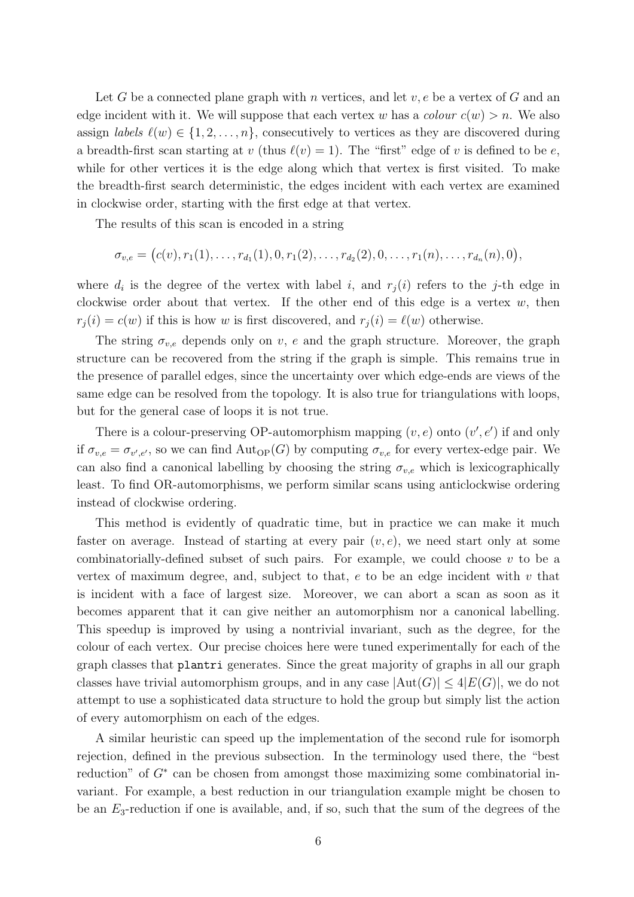Let G be a connected plane graph with n vertices, and let  $v, e$  be a vertex of G and an edge incident with it. We will suppose that each vertex w has a colour  $c(w) > n$ . We also assign *labels*  $\ell(w) \in \{1, 2, ..., n\}$ , consecutively to vertices as they are discovered during a breadth-first scan starting at v (thus  $\ell(v) = 1$ ). The "first" edge of v is defined to be e, while for other vertices it is the edge along which that vertex is first visited. To make the breadth-first search deterministic, the edges incident with each vertex are examined in clockwise order, starting with the first edge at that vertex.

The results of this scan is encoded in a string

$$
\sigma_{v,e} = (c(v), r_1(1), \ldots, r_{d_1}(1), 0, r_1(2), \ldots, r_{d_2}(2), 0, \ldots, r_1(n), \ldots, r_{d_n}(n), 0),
$$

where  $d_i$  is the degree of the vertex with label i, and  $r_j(i)$  refers to the j-th edge in clockwise order about that vertex. If the other end of this edge is a vertex  $w$ , then  $r_i(i) = c(w)$  if this is how w is first discovered, and  $r_i(i) = \ell(w)$  otherwise.

The string  $\sigma_{v,e}$  depends only on v, e and the graph structure. Moreover, the graph structure can be recovered from the string if the graph is simple. This remains true in the presence of parallel edges, since the uncertainty over which edge-ends are views of the same edge can be resolved from the topology. It is also true for triangulations with loops, but for the general case of loops it is not true.

There is a colour-preserving OP-automorphism mapping  $(v, e)$  onto  $(v', e')$  if and only if  $\sigma_{v,e} = \sigma_{v',e'}$ , so we can find  $\text{Aut}_{\text{OP}}(G)$  by computing  $\sigma_{v,e}$  for every vertex-edge pair. We can also find a canonical labelling by choosing the string  $\sigma_{v,e}$  which is lexicographically least. To find OR-automorphisms, we perform similar scans using anticlockwise ordering instead of clockwise ordering.

This method is evidently of quadratic time, but in practice we can make it much faster on average. Instead of starting at every pair  $(v, e)$ , we need start only at some combinatorially-defined subset of such pairs. For example, we could choose  $v$  to be a vertex of maximum degree, and, subject to that,  $e$  to be an edge incident with  $v$  that is incident with a face of largest size. Moreover, we can abort a scan as soon as it becomes apparent that it can give neither an automorphism nor a canonical labelling. This speedup is improved by using a nontrivial invariant, such as the degree, for the colour of each vertex. Our precise choices here were tuned experimentally for each of the graph classes that plantri generates. Since the great majority of graphs in all our graph classes have trivial automorphism groups, and in any case  $|\text{Aut}(G)| \leq 4|E(G)|$ , we do not attempt to use a sophisticated data structure to hold the group but simply list the action of every automorphism on each of the edges.

A similar heuristic can speed up the implementation of the second rule for isomorph rejection, defined in the previous subsection. In the terminology used there, the "best reduction" of  $G^*$  can be chosen from amongst those maximizing some combinatorial invariant. For example, a best reduction in our triangulation example might be chosen to be an  $E_3$ -reduction if one is available, and, if so, such that the sum of the degrees of the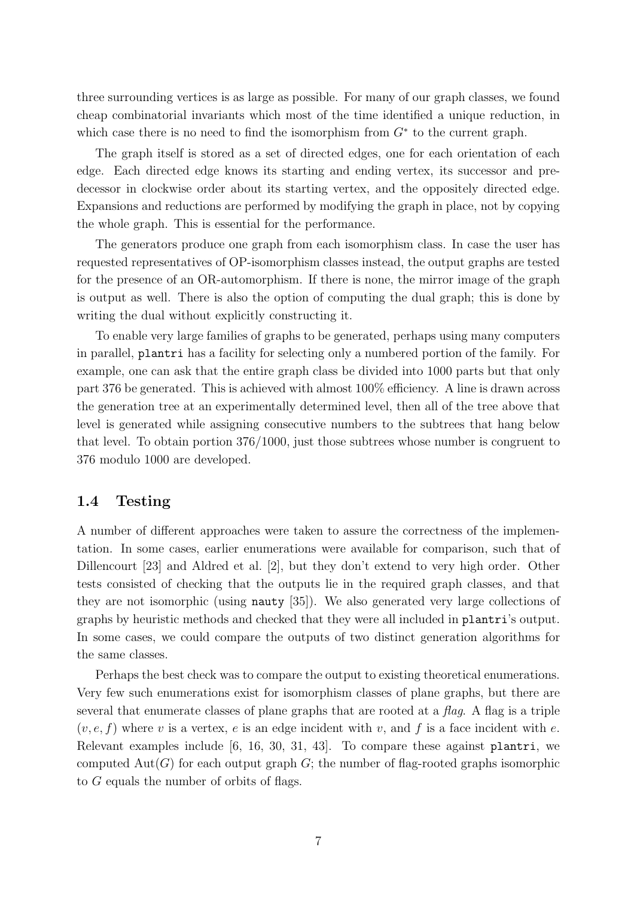three surrounding vertices is as large as possible. For many of our graph classes, we found cheap combinatorial invariants which most of the time identified a unique reduction, in which case there is no need to find the isomorphism from  $G^*$  to the current graph.

The graph itself is stored as a set of directed edges, one for each orientation of each edge. Each directed edge knows its starting and ending vertex, its successor and predecessor in clockwise order about its starting vertex, and the oppositely directed edge. Expansions and reductions are performed by modifying the graph in place, not by copying the whole graph. This is essential for the performance.

The generators produce one graph from each isomorphism class. In case the user has requested representatives of OP-isomorphism classes instead, the output graphs are tested for the presence of an OR-automorphism. If there is none, the mirror image of the graph is output as well. There is also the option of computing the dual graph; this is done by writing the dual without explicitly constructing it.

To enable very large families of graphs to be generated, perhaps using many computers in parallel, plantri has a facility for selecting only a numbered portion of the family. For example, one can ask that the entire graph class be divided into 1000 parts but that only part 376 be generated. This is achieved with almost 100% efficiency. A line is drawn across the generation tree at an experimentally determined level, then all of the tree above that level is generated while assigning consecutive numbers to the subtrees that hang below that level. To obtain portion 376/1000, just those subtrees whose number is congruent to 376 modulo 1000 are developed.

#### 1.4 Testing

A number of different approaches were taken to assure the correctness of the implementation. In some cases, earlier enumerations were available for comparison, such that of Dillencourt [23] and Aldred et al. [2], but they don't extend to very high order. Other tests consisted of checking that the outputs lie in the required graph classes, and that they are not isomorphic (using nauty [35]). We also generated very large collections of graphs by heuristic methods and checked that they were all included in plantri's output. In some cases, we could compare the outputs of two distinct generation algorithms for the same classes.

Perhaps the best check was to compare the output to existing theoretical enumerations. Very few such enumerations exist for isomorphism classes of plane graphs, but there are several that enumerate classes of plane graphs that are rooted at a flag. A flag is a triple  $(v, e, f)$  where v is a vertex, e is an edge incident with v, and f is a face incident with e. Relevant examples include [6, 16, 30, 31, 43]. To compare these against plantri, we computed  $Aut(G)$  for each output graph G; the number of flag-rooted graphs isomorphic to G equals the number of orbits of flags.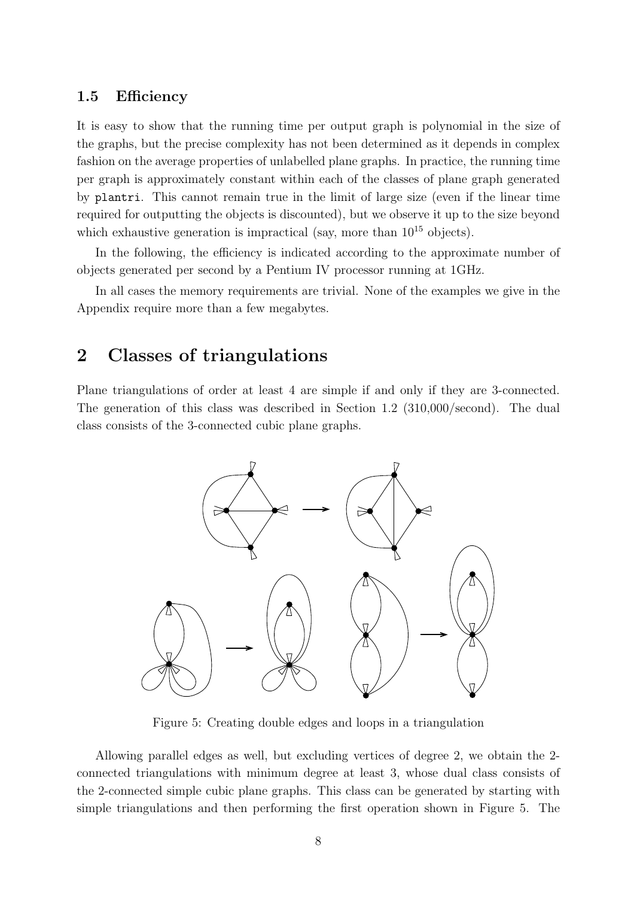#### 1.5 Efficiency

It is easy to show that the running time per output graph is polynomial in the size of the graphs, but the precise complexity has not been determined as it depends in complex fashion on the average properties of unlabelled plane graphs. In practice, the running time per graph is approximately constant within each of the classes of plane graph generated by plantri. This cannot remain true in the limit of large size (even if the linear time required for outputting the objects is discounted), but we observe it up to the size beyond which exhaustive generation is impractical (say, more than  $10^{15}$  objects).

In the following, the efficiency is indicated according to the approximate number of objects generated per second by a Pentium IV processor running at 1GHz.

In all cases the memory requirements are trivial. None of the examples we give in the Appendix require more than a few megabytes.

### 2 Classes of triangulations

Plane triangulations of order at least 4 are simple if and only if they are 3-connected. The generation of this class was described in Section 1.2 (310,000/second). The dual class consists of the 3-connected cubic plane graphs.



Figure 5: Creating double edges and loops in a triangulation

Allowing parallel edges as well, but excluding vertices of degree 2, we obtain the 2 connected triangulations with minimum degree at least 3, whose dual class consists of the 2-connected simple cubic plane graphs. This class can be generated by starting with simple triangulations and then performing the first operation shown in Figure 5. The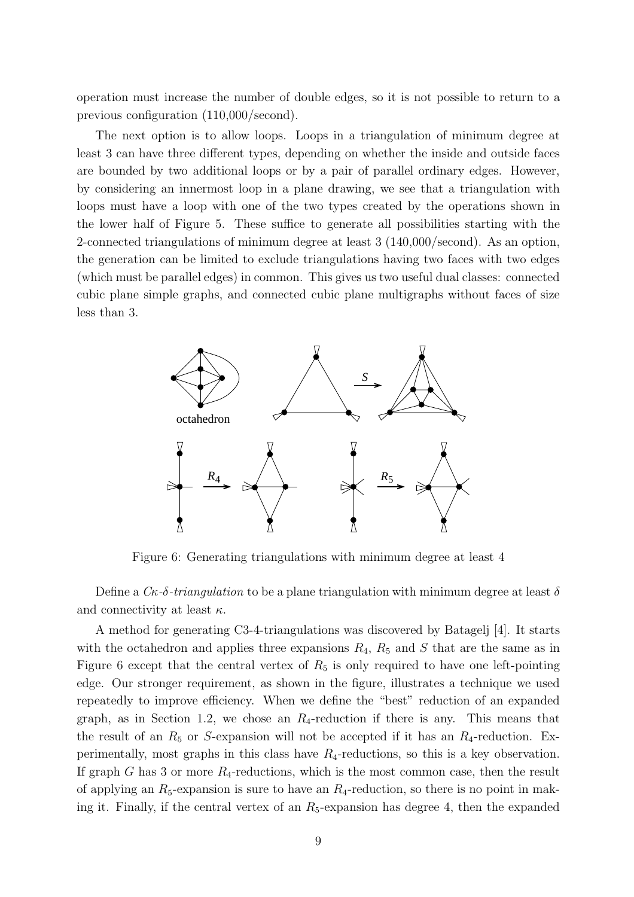operation must increase the number of double edges, so it is not possible to return to a previous configuration (110,000/second).

The next option is to allow loops. Loops in a triangulation of minimum degree at least 3 can have three different types, depending on whether the inside and outside faces are bounded by two additional loops or by a pair of parallel ordinary edges. However, by considering an innermost loop in a plane drawing, we see that a triangulation with loops must have a loop with one of the two types created by the operations shown in the lower half of Figure 5. These suffice to generate all possibilities starting with the 2-connected triangulations of minimum degree at least 3 (140,000/second). As an option, the generation can be limited to exclude triangulations having two faces with two edges (which must be parallel edges) in common. This gives us two useful dual classes: connected cubic plane simple graphs, and connected cubic plane multigraphs without faces of size less than 3.



Figure 6: Generating triangulations with minimum degree at least 4

Define a  $C_{\kappa}$ - $\delta$ -triangulation to be a plane triangulation with minimum degree at least  $\delta$ and connectivity at least  $\kappa$ .

A method for generating C3-4-triangulations was discovered by Batagelj [4]. It starts with the octahedron and applies three expansions  $R_4$ ,  $R_5$  and S that are the same as in Figure 6 except that the central vertex of  $R_5$  is only required to have one left-pointing edge. Our stronger requirement, as shown in the figure, illustrates a technique we used repeatedly to improve efficiency. When we define the "best" reduction of an expanded graph, as in Section 1.2, we chose an  $R_4$ -reduction if there is any. This means that the result of an  $R_5$  or S-expansion will not be accepted if it has an  $R_4$ -reduction. Experimentally, most graphs in this class have  $R_4$ -reductions, so this is a key observation. If graph G has 3 or more  $R_4$ -reductions, which is the most common case, then the result of applying an  $R_5$ -expansion is sure to have an  $R_4$ -reduction, so there is no point in making it. Finally, if the central vertex of an  $R_5$ -expansion has degree 4, then the expanded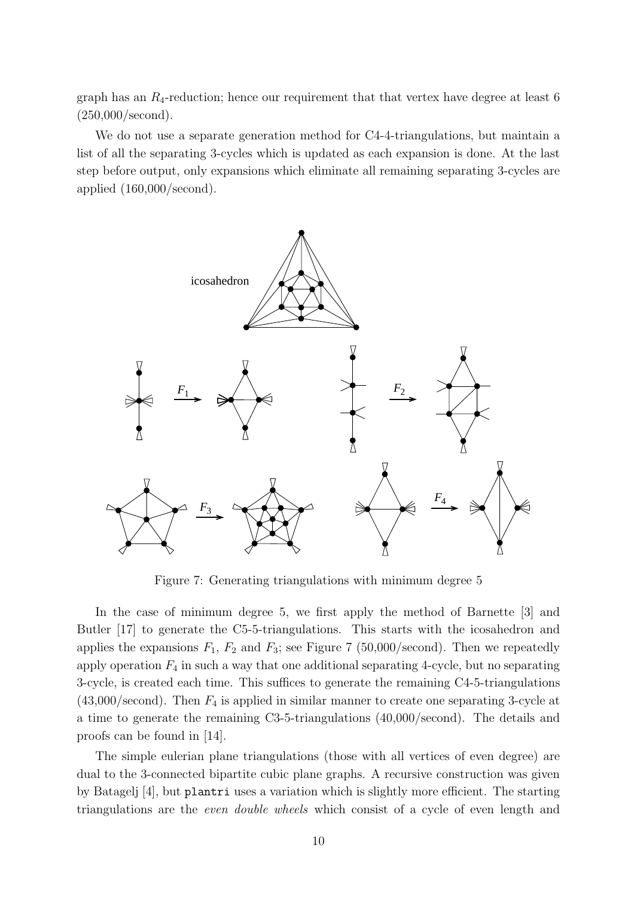graph has an  $R_4$ -reduction; hence our requirement that that vertex have degree at least 6 (250,000/second).

We do not use a separate generation method for C4-4-triangulations, but maintain a list of all the separating 3-cycles which is updated as each expansion is done. At the last step before output, only expansions which eliminate all remaining separating 3-cycles are applied (160,000/second).



Figure 7: Generating triangulations with minimum degree 5

In the case of minimum degree 5, we first apply the method of Barnette [3] and Butler [17] to generate the C5-5-triangulations. This starts with the icosahedron and applies the expansions  $F_1$ ,  $F_2$  and  $F_3$ ; see Figure 7 (50,000/second). Then we repeatedly apply operation  $F_4$  in such a way that one additional separating 4-cycle, but no separating 3-cycle, is created each time. This suffices to generate the remaining C4-5-triangulations  $(43,000/\text{second})$ . Then  $F_4$  is applied in similar manner to create one separating 3-cycle at a time to generate the remaining C3-5-triangulations (40,000/second). The details and proofs can be found in [14].

The simple eulerian plane triangulations (those with all vertices of even degree) are dual to the 3-connected bipartite cubic plane graphs. A recursive construction was given by Batagelj [4], but plantri uses a variation which is slightly more efficient. The starting triangulations are the even double wheels which consist of a cycle of even length and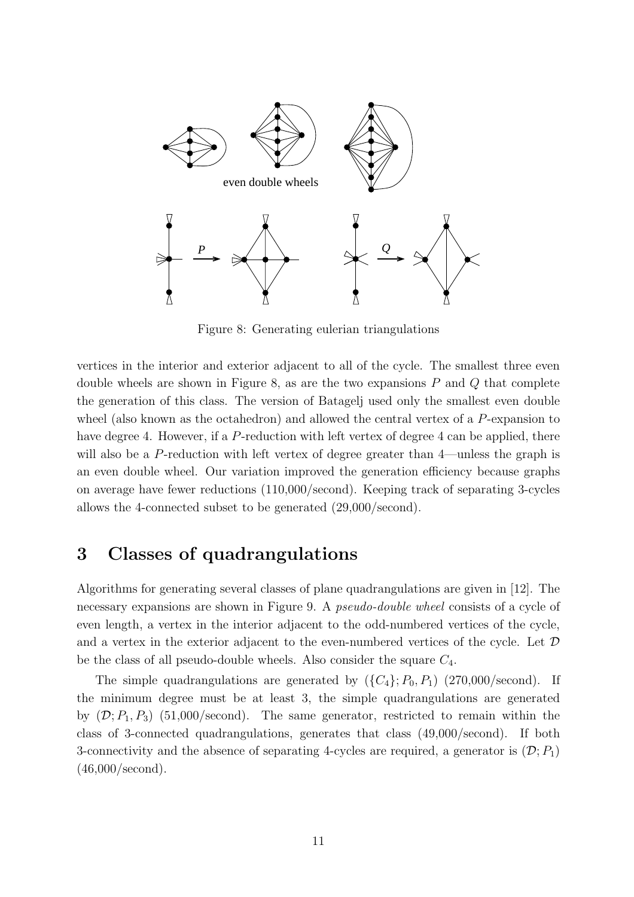

Figure 8: Generating eulerian triangulations

vertices in the interior and exterior adjacent to all of the cycle. The smallest three even double wheels are shown in Figure 8, as are the two expansions  $P$  and  $Q$  that complete the generation of this class. The version of Batagelj used only the smallest even double wheel (also known as the octahedron) and allowed the central vertex of a P-expansion to have degree 4. However, if a P-reduction with left vertex of degree 4 can be applied, there will also be a P-reduction with left vertex of degree greater than 4—unless the graph is an even double wheel. Our variation improved the generation efficiency because graphs on average have fewer reductions (110,000/second). Keeping track of separating 3-cycles allows the 4-connected subset to be generated (29,000/second).

### 3 Classes of quadrangulations

Algorithms for generating several classes of plane quadrangulations are given in [12]. The necessary expansions are shown in Figure 9. A *pseudo-double wheel* consists of a cycle of even length, a vertex in the interior adjacent to the odd-numbered vertices of the cycle, and a vertex in the exterior adjacent to the even-numbered vertices of the cycle. Let  $\mathcal D$ be the class of all pseudo-double wheels. Also consider the square  $C_4$ .

The simple quadrangulations are generated by  $({C_4}; P_0, P_1)$  (270,000/second). If the minimum degree must be at least 3, the simple quadrangulations are generated by  $(D; P_1, P_3)$  (51,000/second). The same generator, restricted to remain within the class of 3-connected quadrangulations, generates that class (49,000/second). If both 3-connectivity and the absence of separating 4-cycles are required, a generator is  $(\mathcal{D}; P_1)$ (46,000/second).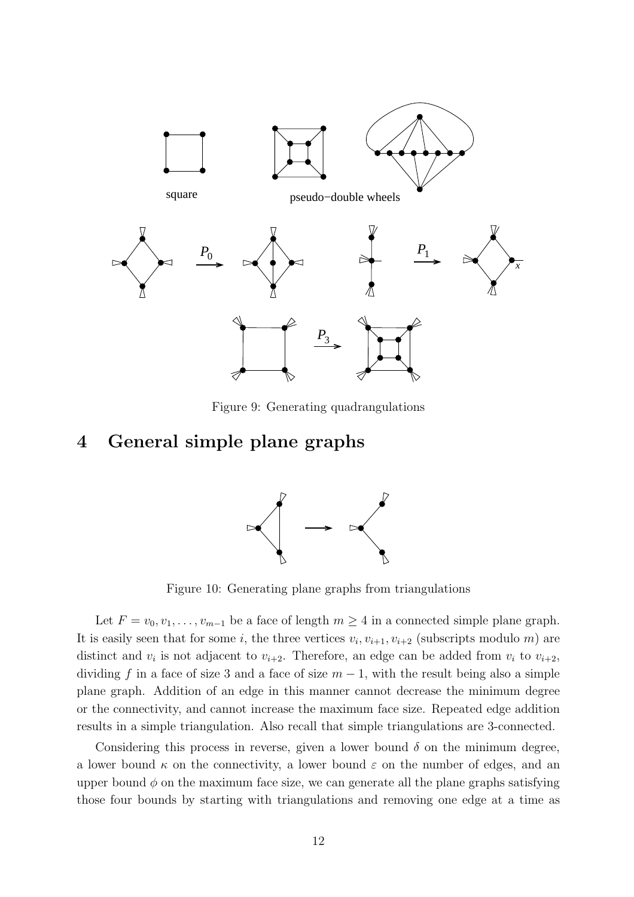

Figure 9: Generating quadrangulations

### 4 General simple plane graphs



Figure 10: Generating plane graphs from triangulations

Let  $F = v_0, v_1, \ldots, v_{m-1}$  be a face of length  $m \geq 4$  in a connected simple plane graph. It is easily seen that for some *i*, the three vertices  $v_i, v_{i+1}, v_{i+2}$  (subscripts modulo *m*) are distinct and  $v_i$  is not adjacent to  $v_{i+2}$ . Therefore, an edge can be added from  $v_i$  to  $v_{i+2}$ , dividing f in a face of size 3 and a face of size  $m-1$ , with the result being also a simple plane graph. Addition of an edge in this manner cannot decrease the minimum degree or the connectivity, and cannot increase the maximum face size. Repeated edge addition results in a simple triangulation. Also recall that simple triangulations are 3-connected.

Considering this process in reverse, given a lower bound  $\delta$  on the minimum degree, a lower bound  $\kappa$  on the connectivity, a lower bound  $\varepsilon$  on the number of edges, and an upper bound  $\phi$  on the maximum face size, we can generate all the plane graphs satisfying those four bounds by starting with triangulations and removing one edge at a time as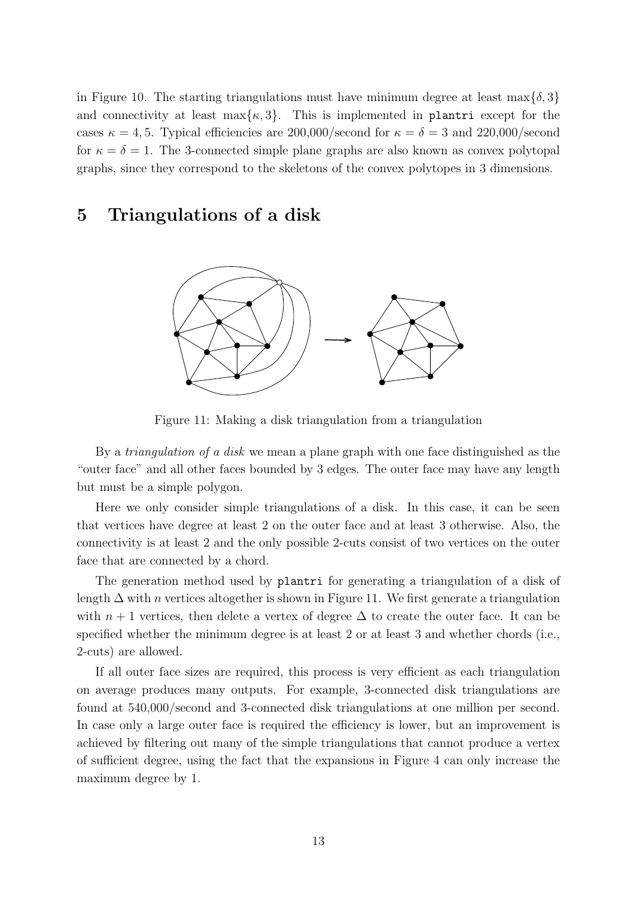in Figure 10. The starting triangulations must have minimum degree at least max $\{\delta, 3\}$ and connectivity at least  $\max\{\kappa, 3\}$ . This is implemented in plantri except for the cases  $\kappa = 4, 5$ . Typical efficiencies are 200,000/second for  $\kappa = \delta = 3$  and 220,000/second for  $\kappa = \delta = 1$ . The 3-connected simple plane graphs are also known as convex polytopal graphs, since they correspond to the skeletons of the convex polytopes in 3 dimensions.

### 5 Triangulations of a disk



Figure 11: Making a disk triangulation from a triangulation

By a *triangulation of a disk* we mean a plane graph with one face distinguished as the "outer face" and all other faces bounded by 3 edges. The outer face may have any length but must be a simple polygon.

Here we only consider simple triangulations of a disk. In this case, it can be seen that vertices have degree at least 2 on the outer face and at least 3 otherwise. Also, the connectivity is at least 2 and the only possible 2-cuts consist of two vertices on the outer face that are connected by a chord.

The generation method used by plantri for generating a triangulation of a disk of length  $\Delta$  with *n* vertices altogether is shown in Figure 11. We first generate a triangulation with  $n + 1$  vertices, then delete a vertex of degree  $\Delta$  to create the outer face. It can be specified whether the minimum degree is at least 2 or at least 3 and whether chords (i.e., 2-cuts) are allowed.

If all outer face sizes are required, this process is very efficient as each triangulation on average produces many outputs. For example, 3-connected disk triangulations are found at 540,000/second and 3-connected disk triangulations at one million per second. In case only a large outer face is required the efficiency is lower, but an improvement is achieved by filtering out many of the simple triangulations that cannot produce a vertex of sufficient degree, using the fact that the expansions in Figure 4 can only increase the maximum degree by 1.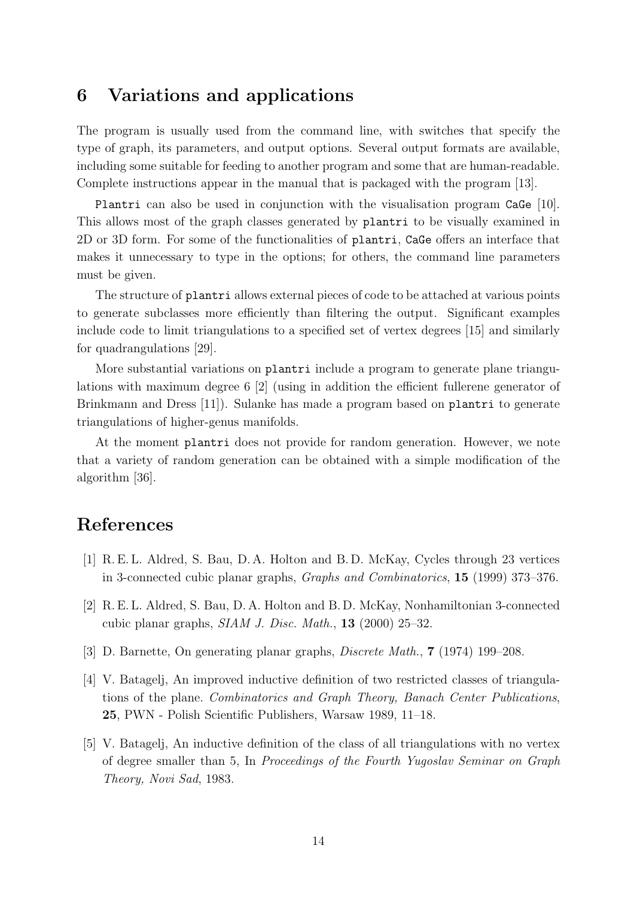### 6 Variations and applications

The program is usually used from the command line, with switches that specify the type of graph, its parameters, and output options. Several output formats are available, including some suitable for feeding to another program and some that are human-readable. Complete instructions appear in the manual that is packaged with the program [13].

Plantri can also be used in conjunction with the visualisation program CaGe [10]. This allows most of the graph classes generated by plantri to be visually examined in 2D or 3D form. For some of the functionalities of plantri, CaGe offers an interface that makes it unnecessary to type in the options; for others, the command line parameters must be given.

The structure of plantri allows external pieces of code to be attached at various points to generate subclasses more efficiently than filtering the output. Significant examples include code to limit triangulations to a specified set of vertex degrees [15] and similarly for quadrangulations [29].

More substantial variations on plantri include a program to generate plane triangulations with maximum degree 6 [2] (using in addition the efficient fullerene generator of Brinkmann and Dress [11]). Sulanke has made a program based on plantri to generate triangulations of higher-genus manifolds.

At the moment plantri does not provide for random generation. However, we note that a variety of random generation can be obtained with a simple modification of the algorithm [36].

# References

- [1] R. E. L. Aldred, S. Bau, D. A. Holton and B. D. McKay, Cycles through 23 vertices in 3-connected cubic planar graphs, Graphs and Combinatorics, 15 (1999) 373–376.
- [2] R. E. L. Aldred, S. Bau, D. A. Holton and B. D. McKay, Nonhamiltonian 3-connected cubic planar graphs, SIAM J. Disc. Math., 13 (2000) 25–32.
- [3] D. Barnette, On generating planar graphs, Discrete Math., 7 (1974) 199–208.
- [4] V. Batagelj, An improved inductive definition of two restricted classes of triangulations of the plane. Combinatorics and Graph Theory, Banach Center Publications, 25, PWN - Polish Scientific Publishers, Warsaw 1989, 11–18.
- [5] V. Batagelj, An inductive definition of the class of all triangulations with no vertex of degree smaller than 5, In Proceedings of the Fourth Yugoslav Seminar on Graph Theory, Novi Sad, 1983.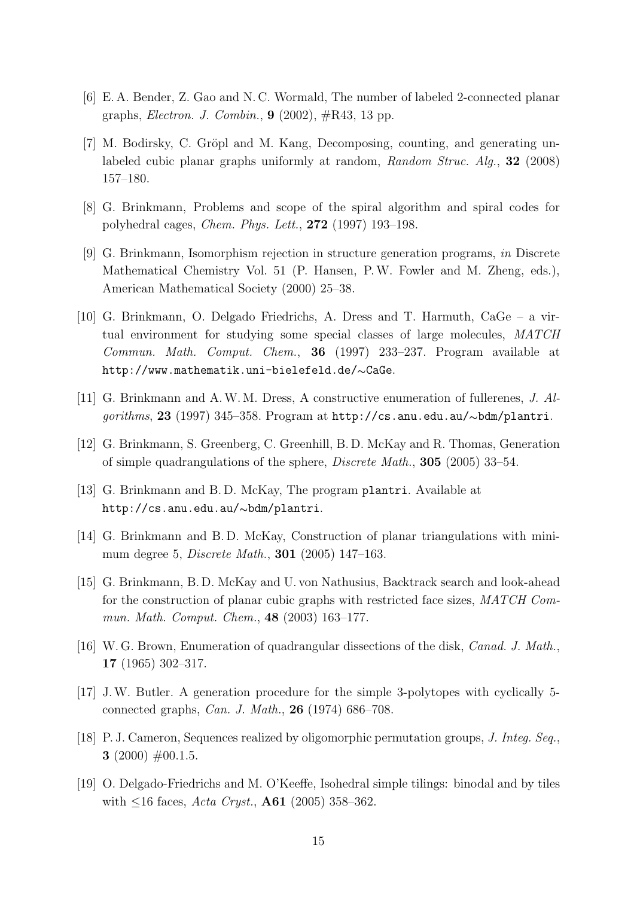- [6] E. A. Bender, Z. Gao and N. C. Wormald, The number of labeled 2-connected planar graphs, *Electron. J. Combin.*,  $9(2002)$ ,  $\#\text{R43}$ , 13 pp.
- [7] M. Bodirsky, C. Gröpl and M. Kang, Decomposing, counting, and generating unlabeled cubic planar graphs uniformly at random, Random Struc. Alg., 32 (2008) 157–180.
- [8] G. Brinkmann, Problems and scope of the spiral algorithm and spiral codes for polyhedral cages, Chem. Phys. Lett., 272 (1997) 193–198.
- [9] G. Brinkmann, Isomorphism rejection in structure generation programs, in Discrete Mathematical Chemistry Vol. 51 (P. Hansen, P.W. Fowler and M. Zheng, eds.), American Mathematical Society (2000) 25–38.
- [10] G. Brinkmann, O. Delgado Friedrichs, A. Dress and T. Harmuth, CaGe a virtual environment for studying some special classes of large molecules, MATCH Commun. Math. Comput. Chem., 36 (1997) 233–237. Program available at http://www.mathematik.uni-bielefeld.de/∼CaGe.
- [11] G. Brinkmann and A.W. M. Dress, A constructive enumeration of fullerenes, J. Algorithms, 23 (1997) 345–358. Program at http://cs.anu.edu.au/∼bdm/plantri.
- [12] G. Brinkmann, S. Greenberg, C. Greenhill, B. D. McKay and R. Thomas, Generation of simple quadrangulations of the sphere, Discrete Math., 305 (2005) 33–54.
- [13] G. Brinkmann and B. D. McKay, The program plantri. Available at http://cs.anu.edu.au/∼bdm/plantri.
- [14] G. Brinkmann and B. D. McKay, Construction of planar triangulations with minimum degree 5, Discrete Math., 301 (2005) 147–163.
- [15] G. Brinkmann, B. D. McKay and U. von Nathusius, Backtrack search and look-ahead for the construction of planar cubic graphs with restricted face sizes, MATCH Commun. Math. Comput. Chem., 48 (2003) 163–177.
- [16] W. G. Brown, Enumeration of quadrangular dissections of the disk, Canad. J. Math., 17 (1965) 302–317.
- [17] J.W. Butler. A generation procedure for the simple 3-polytopes with cyclically 5 connected graphs, Can. J. Math., 26 (1974) 686–708.
- [18] P. J. Cameron, Sequences realized by oligomorphic permutation groups, J. Integ. Seq., 3 (2000)  $\#00.1.5$ .
- [19] O. Delgado-Friedrichs and M. O'Keeffe, Isohedral simple tilings: binodal and by tiles with  $\leq 16$  faces, Acta Cryst., A61 (2005) 358–362.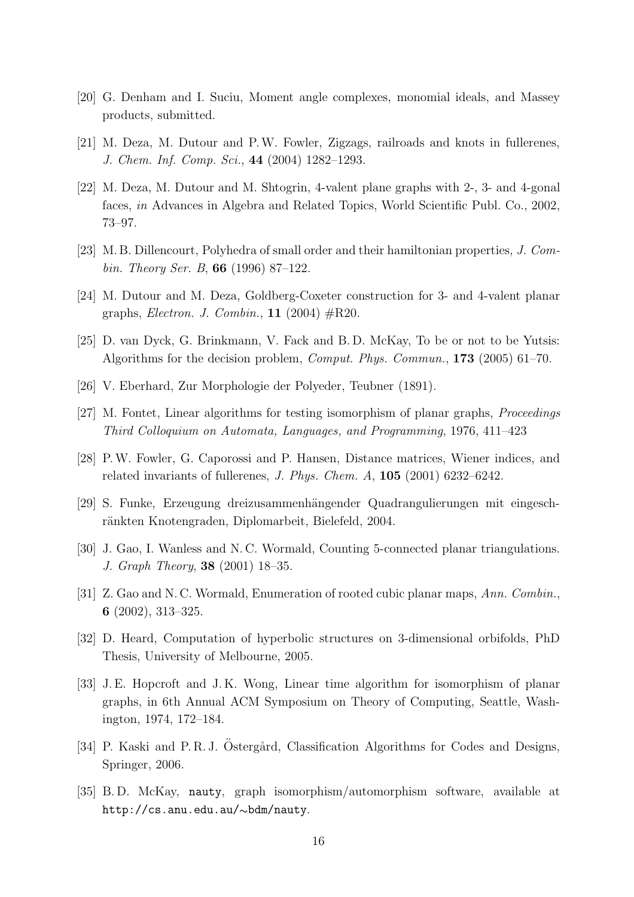- [20] G. Denham and I. Suciu, Moment angle complexes, monomial ideals, and Massey products, submitted.
- [21] M. Deza, M. Dutour and P.W. Fowler, Zigzags, railroads and knots in fullerenes, J. Chem. Inf. Comp. Sci., 44 (2004) 1282–1293.
- [22] M. Deza, M. Dutour and M. Shtogrin, 4-valent plane graphs with 2-, 3- and 4-gonal faces, in Advances in Algebra and Related Topics, World Scientific Publ. Co., 2002, 73–97.
- [23] M. B. Dillencourt, Polyhedra of small order and their hamiltonian properties, J. Combin. Theory Ser. B, 66 (1996) 87–122.
- [24] M. Dutour and M. Deza, Goldberg-Coxeter construction for 3- and 4-valent planar graphs, *Electron. J. Combin.*, **11** (2004)  $\#\text{R20}$ .
- [25] D. van Dyck, G. Brinkmann, V. Fack and B. D. McKay, To be or not to be Yutsis: Algorithms for the decision problem, Comput. Phys. Commun., 173 (2005) 61–70.
- [26] V. Eberhard, Zur Morphologie der Polyeder, Teubner (1891).
- [27] M. Fontet, Linear algorithms for testing isomorphism of planar graphs, Proceedings Third Colloquium on Automata, Languages, and Programming, 1976, 411–423
- [28] P.W. Fowler, G. Caporossi and P. Hansen, Distance matrices, Wiener indices, and related invariants of fullerenes, J. Phys. Chem. A, 105 (2001) 6232–6242.
- [29] S. Funke, Erzeugung dreizusammenh¨angender Quadrangulierungen mit eingeschränkten Knotengraden, Diplomarbeit, Bielefeld, 2004.
- [30] J. Gao, I. Wanless and N. C. Wormald, Counting 5-connected planar triangulations. J. Graph Theory, 38 (2001) 18–35.
- [31] Z. Gao and N. C. Wormald, Enumeration of rooted cubic planar maps, Ann. Combin., 6 (2002), 313–325.
- [32] D. Heard, Computation of hyperbolic structures on 3-dimensional orbifolds, PhD Thesis, University of Melbourne, 2005.
- [33] J. E. Hopcroft and J. K. Wong, Linear time algorithm for isomorphism of planar graphs, in 6th Annual ACM Symposium on Theory of Computing, Seattle, Washington, 1974, 172–184.
- [34] P. Kaski and P. R. J. Östergård, Classification Algorithms for Codes and Designs, Springer, 2006.
- [35] B. D. McKay, nauty, graph isomorphism/automorphism software, available at http://cs.anu.edu.au/∼bdm/nauty.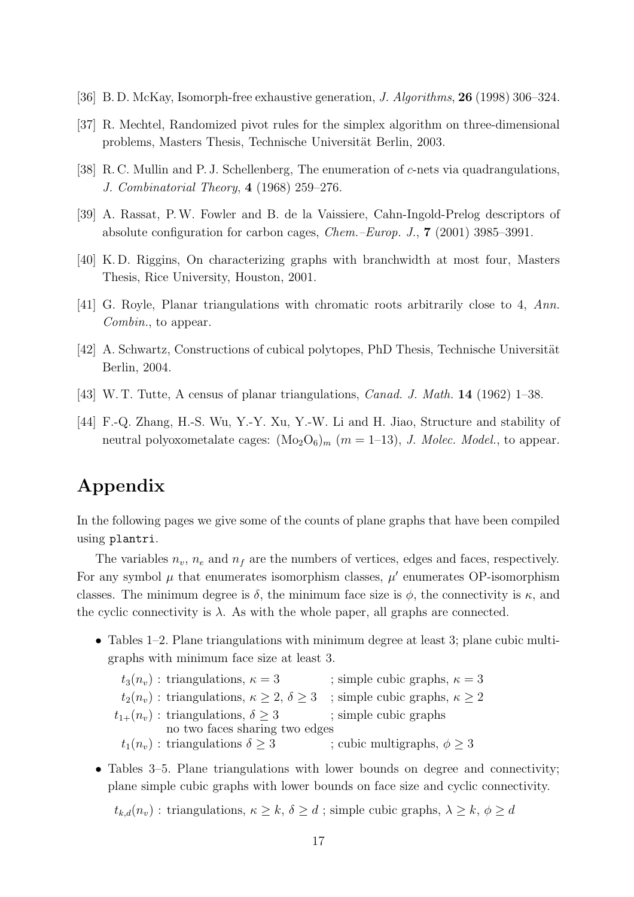- [36] B. D. McKay, Isomorph-free exhaustive generation, J. Algorithms, 26 (1998) 306–324.
- [37] R. Mechtel, Randomized pivot rules for the simplex algorithm on three-dimensional problems, Masters Thesis, Technische Universität Berlin, 2003.
- [38] R. C. Mullin and P. J. Schellenberg, The enumeration of c-nets via quadrangulations, J. Combinatorial Theory, 4 (1968) 259–276.
- [39] A. Rassat, P.W. Fowler and B. de la Vaissiere, Cahn-Ingold-Prelog descriptors of absolute configuration for carbon cages, Chem.–Europ. J., 7 (2001) 3985–3991.
- [40] K. D. Riggins, On characterizing graphs with branchwidth at most four, Masters Thesis, Rice University, Houston, 2001.
- [41] G. Royle, Planar triangulations with chromatic roots arbitrarily close to 4, Ann. Combin., to appear.
- [42] A. Schwartz, Constructions of cubical polytopes, PhD Thesis, Technische Universität Berlin, 2004.
- [43] W. T. Tutte, A census of planar triangulations, Canad. J. Math. 14 (1962) 1–38.
- [44] F.-Q. Zhang, H.-S. Wu, Y.-Y. Xu, Y.-W. Li and H. Jiao, Structure and stability of neutral polyoxometalate cages:  $(Mo<sub>2</sub>O<sub>6</sub>)<sub>m</sub>$   $(m = 1-13)$ , *J. Molec. Model.*, to appear.

# Appendix

In the following pages we give some of the counts of plane graphs that have been compiled using plantri.

The variables  $n_v$ ,  $n_e$  and  $n_f$  are the numbers of vertices, edges and faces, respectively. For any symbol  $\mu$  that enumerates isomorphism classes,  $\mu'$  enumerates OP-isomorphism classes. The minimum degree is  $\delta$ , the minimum face size is  $\phi$ , the connectivity is  $\kappa$ , and the cyclic connectivity is  $\lambda$ . As with the whole paper, all graphs are connected.

• Tables 1–2. Plane triangulations with minimum degree at least 3; plane cubic multigraphs with minimum face size at least 3.

 $t_3(n_v)$ : triangulations,  $\kappa = 3$  ; simple cubic graphs,  $\kappa = 3$  $t_2(n_v)$ : triangulations,  $\kappa \geq 2$ ,  $\delta \geq 3$ ; simple cubic graphs,  $\kappa \geq 2$  $t_{1+}(n_v)$ : triangulations,  $\delta \geq 3$  ; simple cubic graphs no two faces sharing two edges  $t_1(n_v)$ : triangulations  $\delta \geq 3$  ; cubic multigraphs,  $\phi \geq 3$ 

• Tables 3–5. Plane triangulations with lower bounds on degree and connectivity; plane simple cubic graphs with lower bounds on face size and cyclic connectivity.

 $t_{k,d}(n_v)$ : triangulations,  $\kappa \geq k, \delta \geq d$ ; simple cubic graphs,  $\lambda \geq k, \phi \geq d$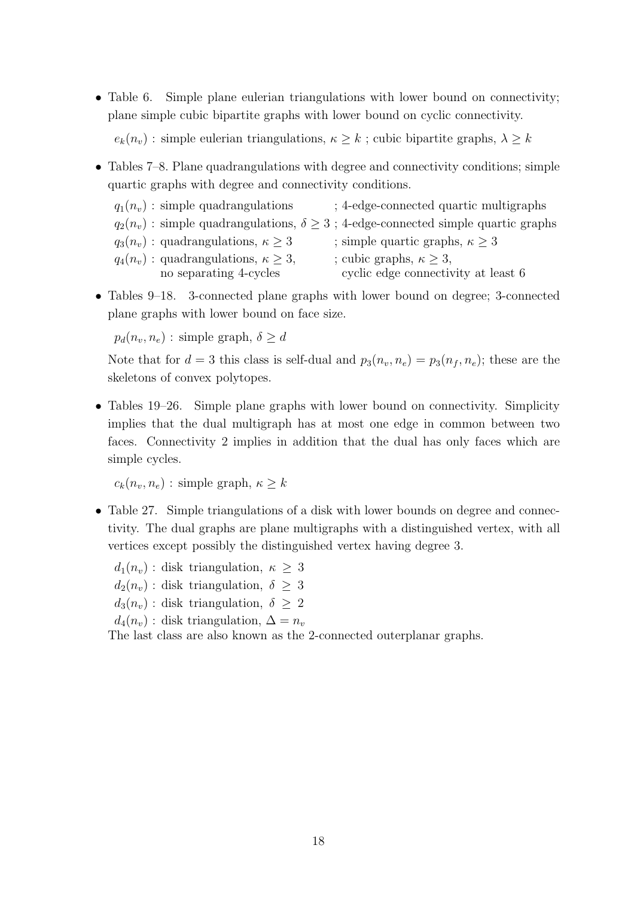• Table 6. Simple plane eulerian triangulations with lower bound on connectivity; plane simple cubic bipartite graphs with lower bound on cyclic connectivity.

 $e_k(n_v)$ : simple eulerian triangulations,  $\kappa \geq k$ ; cubic bipartite graphs,  $\lambda \geq k$ 

- Tables 7–8. Plane quadrangulations with degree and connectivity conditions; simple quartic graphs with degree and connectivity conditions.
	- $q_1(n_v)$ : simple quadrangulations ; 4-edge-connected quartic multigraphs  $q_2(n_v)$ : simple quadrangulations,  $\delta \geq 3$ ; 4-edge-connected simple quartic graphs  $q_3(n_v)$ : quadrangulations,  $\kappa \geq 3$  ; simple quartic graphs,  $\kappa \geq 3$  $q_4(n_v)$ : quadrangulations,  $\kappa \geq 3$ , ; cubic graphs,  $\kappa \geq 3$ , no separating 4-cycles cyclic edge connectivity at least 6
- Tables 9–18. 3-connected plane graphs with lower bound on degree; 3-connected plane graphs with lower bound on face size.

 $p_d(n_v, n_e)$ : simple graph,  $\delta \geq d$ 

Note that for  $d = 3$  this class is self-dual and  $p_3(n_v, n_e) = p_3(n_f, n_e)$ ; these are the skeletons of convex polytopes.

• Tables 19–26. Simple plane graphs with lower bound on connectivity. Simplicity implies that the dual multigraph has at most one edge in common between two faces. Connectivity 2 implies in addition that the dual has only faces which are simple cycles.

 $c_k(n_v, n_e)$ : simple graph,  $\kappa \geq k$ 

- Table 27. Simple triangulations of a disk with lower bounds on degree and connectivity. The dual graphs are plane multigraphs with a distinguished vertex, with all vertices except possibly the distinguished vertex having degree 3.
	- $d_1(n_v)$ : disk triangulation,  $\kappa \geq 3$  $d_2(n_v)$ : disk triangulation,  $\delta \geq 3$  $d_3(n_v)$ : disk triangulation,  $\delta \geq 2$  $d_4(n_v)$ : disk triangulation,  $\Delta = n_v$

The last class are also known as the 2-connected outerplanar graphs.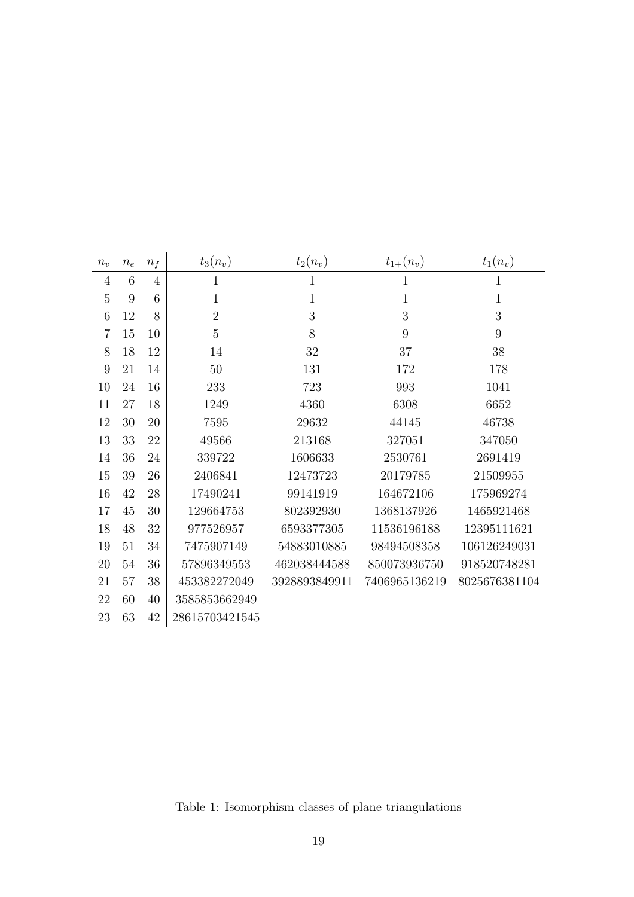| $n_v$          | $n_e$ | $n_f$          | $t_3(n_v)$     | $t_2(n_v)$    | $t_{1+}(n_v)$ | $t_1(n_v)$    |
|----------------|-------|----------------|----------------|---------------|---------------|---------------|
| $\overline{4}$ | 6     | $\overline{4}$ | $\mathbf{1}$   | $\mathbf{1}$  | 1             | $\mathbf 1$   |
| $\overline{5}$ | 9     | 6              | $\mathbf{1}$   | $\mathbf{1}$  | $\mathbf{1}$  | $\mathbf{1}$  |
| 6              | 12    | 8              | $\overline{2}$ | 3             | 3             | 3             |
| $\overline{7}$ | 15    | 10             | $\overline{5}$ | 8             | 9             | 9             |
| 8              | 18    | 12             | 14             | 32            | 37            | 38            |
| 9              | 21    | 14             | 50             | 131           | 172           | 178           |
| 10             | 24    | 16             | 233            | 723           | 993           | 1041          |
| 11             | 27    | 18             | 1249           | 4360          | 6308          | 6652          |
| 12             | 30    | 20             | 7595           | 29632         | 44145         | 46738         |
| 13             | 33    | 22             | 49566          | 213168        | 327051        | 347050        |
| 14             | 36    | 24             | 339722         | 1606633       | 2530761       | 2691419       |
| 15             | 39    | 26             | 2406841        | 12473723      | 20179785      | 21509955      |
| 16             | 42    | 28             | 17490241       | 99141919      | 164672106     | 175969274     |
| 17             | 45    | 30             | 129664753      | 802392930     | 1368137926    | 1465921468    |
| 18             | 48    | 32             | 977526957      | 6593377305    | 11536196188   | 12395111621   |
| 19             | 51    | 34             | 7475907149     | 54883010885   | 98494508358   | 106126249031  |
| 20             | 54    | 36             | 57896349553    | 462038444588  | 850073936750  | 918520748281  |
| 21             | 57    | 38             | 453382272049   | 3928893849911 | 7406965136219 | 8025676381104 |
| 22             | 60    | 40             | 3585853662949  |               |               |               |
| 23             | 63    | 42             | 28615703421545 |               |               |               |

Table 1: Isomorphism classes of plane triangulations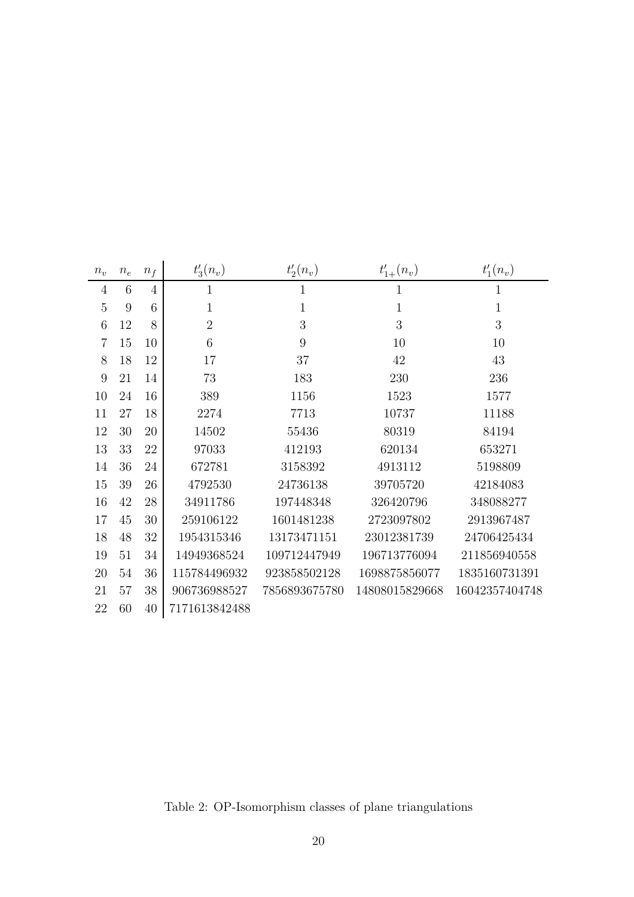| $n_v$          | $n_e$ | $n_f$          | $t'_{3}(n_{v})$ | $t'_{2}(n_{v})$ | $t'_{1+}(n_v)$ | $t'_{1}(n_{v})$ |
|----------------|-------|----------------|-----------------|-----------------|----------------|-----------------|
| 4              | 6     | $\overline{4}$ | 1               | $\mathbf{1}$    | 1              | 1               |
| 5              | 9     | 6              | $\mathbf{1}$    | $\mathbf{1}$    | $\mathbf{1}$   | $\mathbf{1}$    |
| 6              | 12    | 8              | $\overline{2}$  | 3               | 3              | 3               |
| $\overline{7}$ | 15    | 10             | 6               | 9               | 10             | 10              |
| 8              | 18    | 12             | 17              | 37              | 42             | 43              |
| 9              | 21    | 14             | 73              | 183             | 230            | 236             |
| 10             | 24    | 16             | 389             | 1156            | 1523           | 1577            |
| 11             | 27    | 18             | 2274            | 7713            | 10737          | 11188           |
| 12             | 30    | 20             | 14502           | 55436           | 80319          | 84194           |
| 13             | 33    | 22             | 97033           | 412193          | 620134         | 653271          |
| 14             | 36    | 24             | 672781          | 3158392         | 4913112        | 5198809         |
| 15             | 39    | 26             | 4792530         | 24736138        | 39705720       | 42184083        |
| 16             | 42    | 28             | 34911786        | 197448348       | 326420796      | 348088277       |
| 17             | 45    | 30             | 259106122       | 1601481238      | 2723097802     | 2913967487      |
| 18             | 48    | 32             | 1954315346      | 13173471151     | 23012381739    | 24706425434     |
| 19             | 51    | 34             | 14949368524     | 109712447949    | 196713776094   | 211856940558    |
| 20             | 54    | 36             | 115784496932    | 923858502128    | 1698875856077  | 1835160731391   |
| 21             | 57    | 38             | 906736988527    | 7856893675780   | 14808015829668 | 16042357404748  |
| 22             | 60    | 40             | 7171613842488   |                 |                |                 |

Table 2: OP-Isomorphism classes of plane triangulations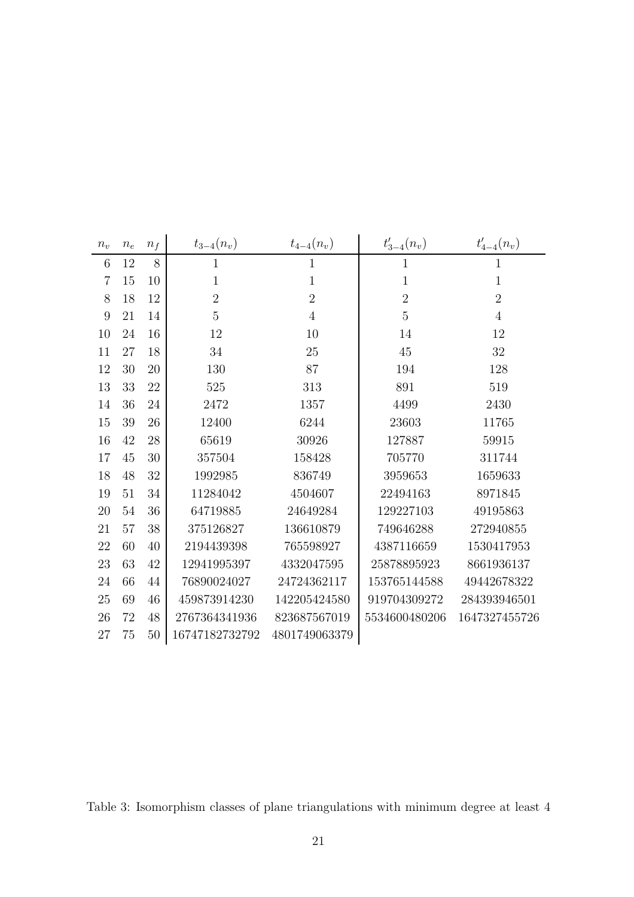| $n_v$            | $n_e$ | $n_f$ | $t_{3-4}(n_v)$ | $t_{4-4}(n_v)$ | $t'_{3-4}(n_v)$ | $t'_{4-4}(n_v)$ |
|------------------|-------|-------|----------------|----------------|-----------------|-----------------|
| $\,6$            | 12    | 8     | $\mathbf{1}$   | $\mathbf{1}$   | $\mathbf{1}$    | $\mathbf{1}$    |
| $\overline{7}$   | 15    | 10    | $\mathbf{1}$   | $\mathbf{1}$   | $\mathbf{1}$    | $\mathbf{1}$    |
| 8                | 18    | 12    | $\overline{2}$ | $\overline{2}$ | $\overline{2}$  | $\overline{2}$  |
| $\boldsymbol{9}$ | 21    | 14    | $\overline{5}$ | $\overline{4}$ | $\overline{5}$  | $\overline{4}$  |
| 10               | 24    | 16    | 12             | 10             | 14              | 12              |
| 11               | 27    | 18    | 34             | 25             | $45\,$          | $32\,$          |
| 12               | 30    | 20    | 130            | $87\,$         | 194             | 128             |
| 13               | 33    | 22    | 525            | 313            | 891             | 519             |
| 14               | 36    | 24    | 2472           | 1357           | 4499            | 2430            |
| 15               | 39    | 26    | 12400          | 6244           | 23603           | 11765           |
| 16               | 42    | 28    | 65619          | 30926          | 127887          | 59915           |
| 17               | 45    | 30    | 357504         | 158428         | 705770          | 311744          |
| 18               | 48    | 32    | 1992985        | 836749         | 3959653         | 1659633         |
| 19               | 51    | 34    | 11284042       | 4504607        | 22494163        | 8971845         |
| $20\,$           | 54    | 36    | 64719885       | 24649284       | 129227103       | 49195863        |
| 21               | 57    | 38    | 375126827      | 136610879      | 749646288       | 272940855       |
| 22               | 60    | 40    | 2194439398     | 765598927      | 4387116659      | 1530417953      |
| 23               | 63    | 42    | 12941995397    | 4332047595     | 25878895923     | 8661936137      |
| $24\,$           | 66    | 44    | 76890024027    | 24724362117    | 153765144588    | 49442678322     |
| $25\,$           | 69    | 46    | 459873914230   | 142205424580   | 919704309272    | 284393946501    |
| 26               | 72    | 48    | 2767364341936  | 823687567019   | 5534600480206   | 1647327455726   |
| $27\,$           | 75    | 50    | 16747182732792 | 4801749063379  |                 |                 |

Table 3: Isomorphism classes of plane triangulations with minimum degree at least 4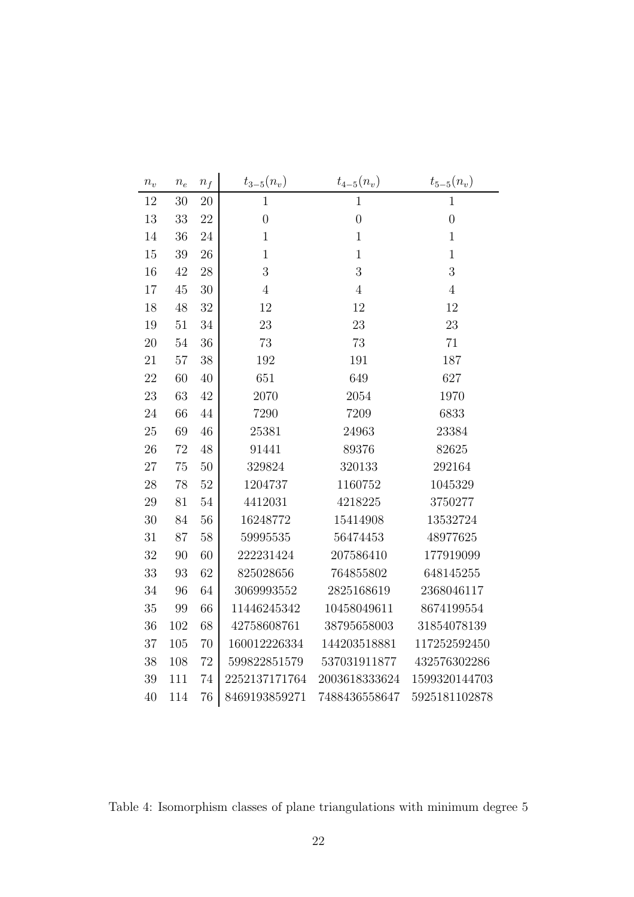| $n_{\scriptstyle v}$ | $\boldsymbol{n}_e$ | $\boldsymbol{n_f}$ | $t_{3-5}(n_v)$   | $t_{4-5}(n_v)$    | $t_{5-5}(n_v)$ |
|----------------------|--------------------|--------------------|------------------|-------------------|----------------|
| 12                   | 30                 | 20                 | $\overline{1}$   | $\mathbf{1}$      | $\mathbf{1}$   |
| 13                   | 33                 | 22                 | $\boldsymbol{0}$ | $\overline{0}$    | $\overline{0}$ |
| 14                   | 36                 | 24                 | $\mathbf{1}$     | $1\,$             | $\mathbf{1}$   |
| 15                   | 39                 | 26                 | $1\,$            | $\mathbf{1}$      | $\mathbf{1}$   |
| 16                   | 42                 | $28\,$             | 3                | 3                 | 3              |
| 17                   | $45\,$             | $30\,$             | $\,4\,$          | $\,4\,$           | $\overline{4}$ |
| 18                   | $48\,$             | $32\,$             | $12\,$           | 12                | 12             |
| 19                   | 51                 | 34                 | 23               | 23                | 23             |
| $20\,$               | $54\,$             | 36                 | 73               | 73                | 71             |
| 21                   | 57                 | 38                 | 192              | 191               | 187            |
| 22                   | 60                 | 40                 | 651              | 649               | 627            |
| $23\,$               | 63                 | $42\,$             | 2070             | 2054              | 1970           |
| 24                   | 66                 | $44\,$             | 7290             | 7209              | 6833           |
| $25\,$               | 69                 | 46                 | 25381            | 24963             | 23384          |
| $26\,$               | $72\,$             | 48                 | 91441            | 89376             | 82625          |
| $27\,$               | 75                 | $50\,$             | 329824           | 320133            | 292164         |
| $28\,$               | 78                 | $52\,$             | 1204737          | 1160752           | 1045329        |
| $29\,$               | 81                 | 54                 | 4412031          | 4218225           | 3750277        |
| $30\,$               | 84                 | 56                 | 16248772         | 15414908          | 13532724       |
| 31                   | 87                 | $58\,$             | 59995535         | 56474453          | 48977625       |
| 32                   | 90                 | 60                 | 222231424        | 207586410         | 177919099      |
| 33                   | 93                 | 62                 | 825028656        | 764855802         | 648145255      |
| $34\,$               | 96                 | 64                 | 3069993552       | 2825168619        | 2368046117     |
| 35                   | 99                 | 66                 | 11446245342      | 10458049611       | 8674199554     |
| $36\,$               | 102                | 68                 | 42758608761      | 38795658003       | 31854078139    |
| $37\,$               | 105                | 70                 | 160012226334     | 144203518881      | 117252592450   |
| $38\,$               | 108                | 72                 | 599822851579     | 537031911877      | 432576302286   |
| $39\,$               | 111                | 74                 | 2252137171764    | $2003618333624\,$ | 1599320144703  |
| 40                   | 114                | 76                 | 8469193859271    | 7488436558647     | 5925181102878  |

Table 4: Isomorphism classes of plane triangulations with minimum degree 5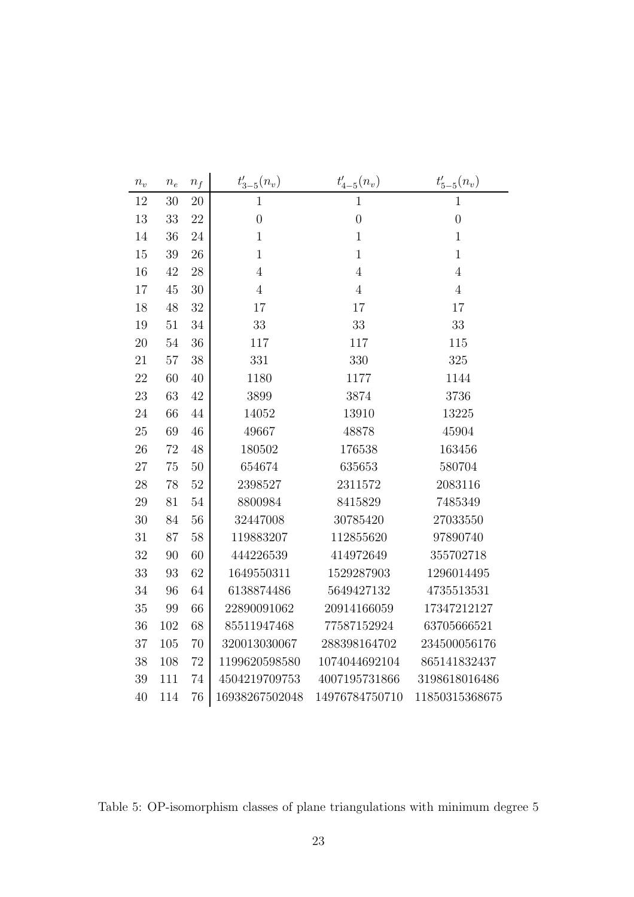| $n_{\scriptstyle v}$ | $\boldsymbol{n_e}$ | $n_f$  | $t'_{3-5}(n_v)$  | $t'_{4-5}(n_v)$ | $t'_{5-5}(n_v)$ |
|----------------------|--------------------|--------|------------------|-----------------|-----------------|
| $12\,$               | $30\,$             | $20\,$ | $\overline{1}$   | $\overline{1}$  | 1               |
| 13                   | 33                 | 22     | $\boldsymbol{0}$ | $\overline{0}$  | $\overline{0}$  |
| 14                   | $36\,$             | 24     | $\,1\,$          | $\mathbf{1}$    | $\mathbf{1}$    |
| $15\,$               | $39\,$             | 26     | $1\,$            | $\mathbf{1}$    | $\mathbf{1}$    |
| 16                   | $42\,$             | 28     | $\,4\,$          | $\overline{4}$  | $\overline{4}$  |
| 17                   | $45\,$             | 30     | $\overline{4}$   | $\overline{4}$  | $\overline{4}$  |
| $18\,$               | $48\,$             | 32     | 17               | 17              | 17              |
| 19                   | 51                 | 34     | 33               | 33              | 33              |
| $20\,$               | $54\,$             | 36     | $117\,$          | $117\,$         | 115             |
| 21                   | $57\,$             | 38     | 331              | 330             | 325             |
| $22\,$               | 60                 | 40     | 1180             | 1177            | 1144            |
| $23\,$               | 63                 | 42     | 3899             | 3874            | 3736            |
| 24                   | 66                 | 44     | 14052            | 13910           | 13225           |
| $25\,$               | 69                 | 46     | 49667            | 48878           | 45904           |
| $26\,$               | $72\,$             | 48     | 180502           | 176538          | 163456          |
| $27\,$               | 75                 | 50     | 654674           | 635653          | 580704          |
| $28\,$               | $78\,$             | 52     | 2398527          | 2311572         | 2083116         |
| $\,29$               | 81                 | 54     | 8800984          | 8415829         | 7485349         |
| 30                   | 84                 | 56     | 32447008         | 30785420        | 27033550        |
| $31\,$               | 87                 | 58     | 119883207        | 112855620       | 97890740        |
| 32                   | 90                 | 60     | 444226539        | 414972649       | 355702718       |
| 33                   | 93                 | 62     | 1649550311       | 1529287903      | 1296014495      |
| $34\,$               | 96                 | 64     | 6138874486       | 5649427132      | 4735513531      |
| 35                   | 99                 | 66     | 22890091062      | 20914166059     | 17347212127     |
| $36\,$               | 102                | 68     | 85511947468      | 77587152924     | 63705666521     |
| 37                   | 105                | 70     | 320013030067     | 288398164702    | 234500056176    |
| 38                   | 108                | 72     | 1199620598580    | 1074044692104   | 865141832437    |
| $39\,$               | 111                | 74     | 4504219709753    | 4007195731866   | 3198618016486   |
| 40                   | 114                | 76     | 16938267502048   | 14976784750710  | 11850315368675  |

Table 5: OP-isomorphism classes of plane triangulations with minimum degree 5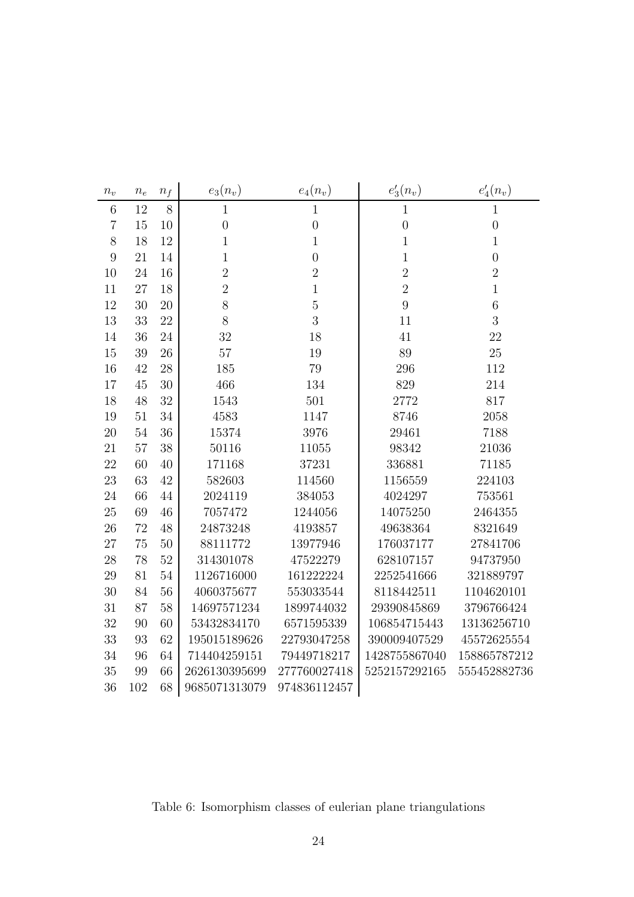| $n_v$          | $\boldsymbol{n_e}$ | $n_f$ | $e_3(n_v)$     | $e_4(n_v)$     | $e'_3(n_v)$      | $e'_4(n_v)$      |
|----------------|--------------------|-------|----------------|----------------|------------------|------------------|
| $\,6$          | 12                 | 8     | $\mathbf{1}$   | 1              | $\mathbf 1$      | 1                |
| $\overline{7}$ | $15\,$             | 10    | $\overline{0}$ | $\overline{0}$ | $\boldsymbol{0}$ | $\boldsymbol{0}$ |
| $8\,$          | 18                 | 12    | $\mathbf{1}$   | $\mathbf{1}$   | $\mathbf 1$      | $\mathbf 1$      |
| $\overline{9}$ | 21                 | 14    | $\mathbf{1}$   | $\overline{0}$ | $\mathbf 1$      | $\overline{0}$   |
| 10             | 24                 | 16    | $\overline{2}$ | $\overline{2}$ | $\overline{2}$   | $\overline{2}$   |
| 11             | 27                 | 18    | $\overline{2}$ | $\mathbf{1}$   | $\overline{2}$   | $\mathbf 1$      |
| 12             | 30                 | 20    | 8              | $\bf 5$        | 9                | $\overline{6}$   |
| 13             | 33                 | 22    | 8              | 3              | 11               | 3                |
| 14             | 36                 | 24    | 32             | 18             | 41               | 22               |
| 15             | 39                 | 26    | $57\,$         | 19             | 89               | $25\,$           |
| 16             | 42                 | 28    | 185            | 79             | 296              | 112              |
| 17             | 45                 | 30    | 466            | 134            | 829              | 214              |
| 18             | 48                 | 32    | 1543           | 501            | 2772             | 817              |
| 19             | 51                 | 34    | 4583           | 1147           | 8746             | 2058             |
| 20             | 54                 | 36    | 15374          | 3976           | 29461            | 7188             |
| 21             | 57                 | 38    | 50116          | 11055          | 98342            | 21036            |
| 22             | 60                 | 40    | 171168         | 37231          | 336881           | 71185            |
| 23             | 63                 | 42    | 582603         | 114560         | 1156559          | 224103           |
| 24             | 66                 | 44    | 2024119        | 384053         | 4024297          | 753561           |
| 25             | 69                 | 46    | 7057472        | 1244056        | 14075250         | 2464355          |
| 26             | 72                 | 48    | 24873248       | 4193857        | 49638364         | 8321649          |
| 27             | 75                 | 50    | 88111772       | 13977946       | 176037177        | 27841706         |
| 28             | 78                 | 52    | 314301078      | 47522279       | 628107157        | 94737950         |
| 29             | 81                 | 54    | 1126716000     | 161222224      | 2252541666       | 321889797        |
| 30             | 84                 | 56    | 4060375677     | 553033544      | 8118442511       | 1104620101       |
| 31             | 87                 | 58    | 14697571234    | 1899744032     | 29390845869      | 3796766424       |
| 32             | 90                 | 60    | 53432834170    | 6571595339     | 106854715443     | 13136256710      |
| 33             | 93                 | 62    | 195015189626   | 22793047258    | 390009407529     | 45572625554      |
| 34             | 96                 | 64    | 714404259151   | 79449718217    | 1428755867040    | 158865787212     |
| 35             | 99                 | 66    | 2626130395699  | 277760027418   | 5252157292165    | 555452882736     |
| 36             | 102                | 68    | 9685071313079  | 974836112457   |                  |                  |

Table 6: Isomorphism classes of eulerian plane triangulations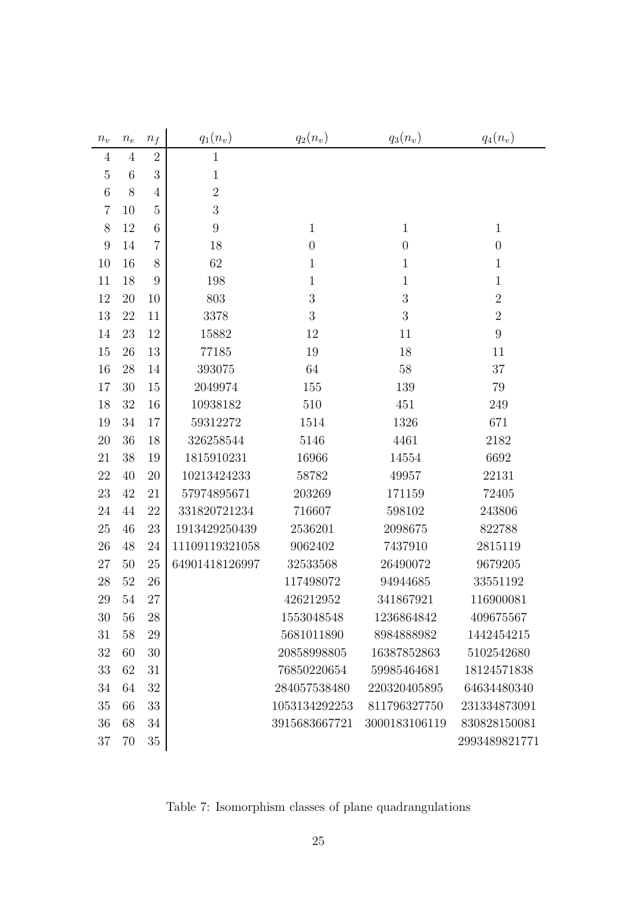| $n_{\scriptstyle v}$ | $\,n_e$ | $\boldsymbol{n_f}$ | $q_1(n_v)$       | $q_2(n_v)$       | $q_3(n_v)$       | $q_4(n_v)$     |
|----------------------|---------|--------------------|------------------|------------------|------------------|----------------|
| $\overline{4}$       | 4       | $\overline{2}$     | $\mathbf{1}$     |                  |                  |                |
| $\mathbf 5$          | 6       | 3                  | $\mathbf{1}$     |                  |                  |                |
| 6                    | 8       | $\overline{4}$     | $\sqrt{2}$       |                  |                  |                |
| $\overline{7}$       | 10      | $\overline{5}$     | 3                |                  |                  |                |
| 8                    | 12      | 6                  | $\boldsymbol{9}$ | $\mathbf{1}$     | $\mathbf{1}$     | $\mathbf{1}$   |
| $\overline{9}$       | 14      | $\overline{7}$     | 18               | $\theta$         | $\boldsymbol{0}$ | $\overline{0}$ |
| 10                   | 16      | 8                  | 62               | $\mathbf{1}$     | $\mathbf{1}$     | $\mathbf{1}$   |
| 11                   | 18      | 9                  | 198              | $\mathbf{1}$     | $\mathbf{1}$     | $\mathbf{1}$   |
| 12                   | 20      | 10                 | 803              | 3                | 3                | $\overline{2}$ |
| 13                   | 22      | 11                 | 3378             | $\boldsymbol{3}$ | $\mathfrak{Z}$   | $\overline{2}$ |
| 14                   | 23      | 12                 | 15882            | 12               | 11               | 9              |
| 15                   | 26      | 13                 | 77185            | 19               | 18               | 11             |
| 16                   | 28      | 14                 | 393075           | 64               | $58\,$           | 37             |
| 17                   | 30      | 15                 | 2049974          | 155              | 139              | 79             |
| 18                   | 32      | 16                 | 10938182         | 510              | 451              | 249            |
| 19                   | 34      | 17                 | 59312272         | 1514             | 1326             | 671            |
| 20                   | 36      | 18                 | 326258544        | 5146             | 4461             | 2182           |
| 21                   | 38      | 19                 | 1815910231       | 16966            | 14554            | 6692           |
| 22                   | 40      | 20                 | 10213424233      | 58782            | 49957            | 22131          |
| 23                   | 42      | 21                 | 57974895671      | 203269           | 171159           | 72405          |
| 24                   | 44      | 22                 | 331820721234     | 716607           | 598102           | 243806         |
| 25                   | 46      | 23                 | 1913429250439    | 2536201          | 2098675          | 822788         |
| 26                   | 48      | 24                 | 11109119321058   | 9062402          | 7437910          | 2815119        |
| 27                   | 50      | 25                 | 64901418126997   | 32533568         | 26490072         | 9679205        |
| 28                   | 52      | 26                 |                  | 117498072        | 94944685         | 33551192       |
| 29                   | $54\,$  | 27                 |                  | 426212952        | 341867921        | 116900081      |
| 30                   | 56      | 28                 |                  | 1553048548       | 1236864842       | 409675567      |
| 31                   | 58      | 29                 |                  | 5681011890       | 8984888982       | 1442454215     |
| 32                   | 60      | 30                 |                  | 20858998805      | 16387852863      | 5102542680     |
| 33                   | 62      | 31                 |                  | 76850220654      | 59985464681      | 18124571838    |
| 34                   | 64      | 32                 |                  | 284057538480     | 220320405895     | 64634480340    |
| 35                   | 66      | 33                 |                  | 1053134292253    | 811796327750     | 231334873091   |
| 36                   | 68      | 34                 |                  | 3915683667721    | 3000183106119    | 830828150081   |
| 37                   | 70      | 35                 |                  |                  |                  | 2993489821771  |

Table 7: Isomorphism classes of plane quadrangulations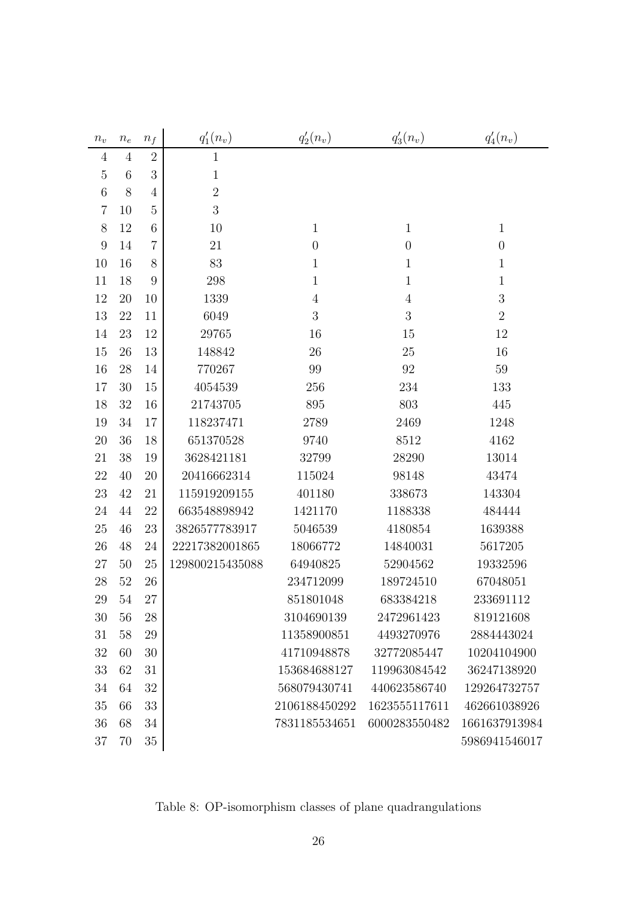| $n_v$          | $\boldsymbol{n_e}$ | $n_{\it f}$    | $q'_1(n_v)$     | $q'_2(n_v)$      | $q'_3(n_v)$    | $q'_4(n_v)$      |
|----------------|--------------------|----------------|-----------------|------------------|----------------|------------------|
| $\overline{4}$ | $\overline{4}$     | $\overline{2}$ | $\mathbf{1}$    |                  |                |                  |
| $\mathbf 5$    | 6                  | $\mathfrak{Z}$ | $\mathbf{1}$    |                  |                |                  |
| $\,6$          | 8                  | 4              | $\sqrt{2}$      |                  |                |                  |
| $\overline{7}$ | 10                 | $\overline{5}$ | 3               |                  |                |                  |
| 8              | 12                 | 6              | 10              | $\mathbf{1}$     | $\mathbf{1}$   | $\mathbf{1}$     |
| 9              | 14                 | $\overline{7}$ | 21              | $\boldsymbol{0}$ | $\theta$       | $\boldsymbol{0}$ |
| 10             | 16                 | $8\,$          | 83              | $\mathbf{1}$     | $\mathbf{1}$   | $\mathbf{1}$     |
| 11             | 18                 | 9              | 298             | $\mathbf{1}$     | $\mathbf{1}$   | $\mathbf{1}$     |
| 12             | 20                 | 10             | 1339            | $\overline{4}$   | $\overline{4}$ | $\sqrt{3}$       |
| 13             | 22                 | 11             | 6049            | $\boldsymbol{3}$ | 3              | $\overline{2}$   |
| 14             | 23                 | $12\,$         | 29765           | 16               | 15             | 12               |
| 15             | 26                 | 13             | 148842          | 26               | 25             | 16               |
| 16             | 28                 | 14             | 770267          | 99               | 92             | 59               |
| 17             | 30                 | 15             | 4054539         | 256              | 234            | 133              |
| 18             | 32                 | 16             | 21743705        | 895              | 803            | 445              |
| 19             | 34                 | 17             | 118237471       | 2789             | 2469           | 1248             |
| $20\,$         | 36                 | 18             | 651370528       | 9740             | 8512           | 4162             |
| 21             | 38                 | 19             | 3628421181      | 32799            | 28290          | 13014            |
| 22             | 40                 | 20             | 20416662314     | 115024           | 98148          | 43474            |
| 23             | 42                 | 21             | 115919209155    | 401180           | 338673         | 143304           |
| 24             | 44                 | 22             | 663548898942    | 1421170          | 1188338        | 484444           |
| 25             | 46                 | 23             | 3826577783917   | 5046539          | 4180854        | 1639388          |
| 26             | 48                 | 24             | 22217382001865  | 18066772         | 14840031       | 5617205          |
| 27             | 50                 | 25             | 129800215435088 | 64940825         | 52904562       | 19332596         |
| $28\,$         | 52                 | $26\,$         |                 | 234712099        | 189724510      | 67048051         |
| 29             | 54                 | 27             |                 | 851801048        | 683384218      | 233691112        |
| 30             | 56                 | $28\,$         |                 | 3104690139       | 2472961423     | 819121608        |
| 31             | 58                 | 29             |                 | 11358900851      | 4493270976     | 2884443024       |
| 32             | 60                 | 30             |                 | 41710948878      | 32772085447    | 10204104900      |
| 33             | 62                 | 31             |                 | 153684688127     | 119963084542   | 36247138920      |
| 34             | 64                 | 32             |                 | 568079430741     | 440623586740   | 129264732757     |
| 35             | 66                 | 33             |                 | 2106188450292    | 1623555117611  | 462661038926     |
| 36             | 68                 | 34             |                 | 7831185534651    | 6000283550482  | 1661637913984    |
| 37             | 70                 | $35\,$         |                 |                  |                | 5986941546017    |

Table 8: OP-isomorphism classes of plane quadrangulations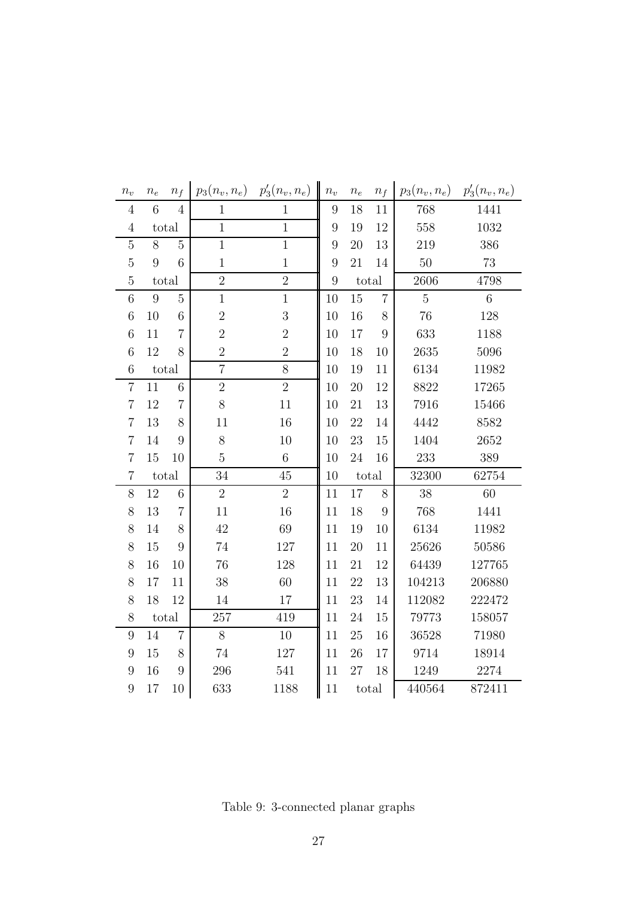| $n_v$            | $n_e$ | $n_f$          | $p_3(n_v, n_e)$ | $p'_{3}(n_{v}, n_{e})$ | $n_v$            | $n_{e}$ | $n_f$            | $p_3(n_v, n_e)$ | $p'_{3}(n_{v}, n_{e})$ |
|------------------|-------|----------------|-----------------|------------------------|------------------|---------|------------------|-----------------|------------------------|
| $\overline{4}$   | 6     | $\overline{4}$ | $\mathbf{1}$    | $\mathbf{1}$           | $\boldsymbol{9}$ | 18      | 11               | 768             | 1441                   |
| $\sqrt{4}$       |       | total          | $\overline{1}$  | $\mathbf{1}$           | $\boldsymbol{9}$ | 19      | 12               | 558             | 1032                   |
| $\bf 5$          | 8     | $\overline{5}$ | $\,1\,$         | $\mathbf 1$            | $9\phantom{.0}$  | $20\,$  | 13               | 219             | 386                    |
| $\mathbf 5$      | 9     | 6              | $\mathbf{1}$    | $\mathbf{1}$           | $\boldsymbol{9}$ | 21      | 14               | $50\,$          | 73                     |
| $\mathbf 5$      |       | total          | $\overline{2}$  | $\overline{2}$         | $\boldsymbol{9}$ |         | total            | 2606            | 4798                   |
| 6                | 9     | $\overline{5}$ | $\mathbf 1$     | $\mathbf{1}$           | 10               | 15      | $\overline{7}$   | $\overline{5}$  | $\sqrt{6}$             |
| $\,$ 6 $\,$      | 10    | 6              | $\overline{2}$  | $\mathfrak{Z}$         | $10\,$           | 16      | $8\,$            | 76              | 128                    |
| $\,$ 6 $\,$      | 11    | $\overline{7}$ | $\overline{2}$  | $\overline{2}$         | 10               | 17      | $\boldsymbol{9}$ | 633             | 1188                   |
| 6                | 12    | 8              | $\overline{2}$  | $\overline{2}$         | 10               | 18      | 10               | 2635            | 5096                   |
| $6\phantom{.}6$  |       | total          | $\overline{7}$  | 8                      | 10               | 19      | 11               | 6134            | 11982                  |
| $\overline{7}$   | 11    | 6              | $\overline{2}$  | $\overline{2}$         | 10               | $20\,$  | 12               | 8822            | 17265                  |
| $\overline{7}$   | 12    | $\overline{7}$ | 8               | 11                     | 10               | 21      | 13               | 7916            | 15466                  |
| $\overline{7}$   | 13    | 8              | 11              | 16                     | 10               | $22\,$  | $14\,$           | 4442            | 8582                   |
| $\overline{7}$   | 14    | 9              | $8\,$           | 10                     | 10               | $23\,$  | 15               | 1404            | 2652                   |
| $\overline{7}$   | 15    | 10             | $\overline{5}$  | $\,6$                  | 10               | $24\,$  | 16               | 233             | 389                    |
| $\overline{7}$   |       | total          | 34              | 45                     | $10\,$           |         | total            | 32300           | 62754                  |
| 8                | 12    | $\sqrt{6}$     | $\overline{2}$  | $\overline{2}$         | 11               | 17      | $8\,$            | 38              | 60                     |
| 8                | 13    | $\overline{7}$ | 11              | 16                     | 11               | 18      | $\boldsymbol{9}$ | 768             | 1441                   |
| 8                | 14    | 8              | 42              | 69                     | 11               | 19      | 10               | 6134            | 11982                  |
| 8                | 15    | 9              | $74\,$          | 127                    | 11               | $20\,$  | 11               | 25626           | 50586                  |
| 8                | 16    | 10             | 76              | 128                    | 11               | 21      | 12               | 64439           | 127765                 |
| 8                | 17    | 11             | 38              | 60                     | 11               | 22      | 13               | 104213          | 206880                 |
| 8                | 18    | 12             | 14              | 17                     | 11               | $23\,$  | 14               | 112082          | 222472                 |
| 8                |       | total          | 257             | 419                    | 11               | $24\,$  | $15\,$           | 79773           | 158057                 |
| 9                | 14    | $\overline{7}$ | $8\,$           | 10                     | 11               | $25\,$  | $16\,$           | 36528           | 71980                  |
| $\boldsymbol{9}$ | 15    | 8              | 74              | 127                    | 11               | $26\,$  | 17               | 9714            | 18914                  |
| 9                | 16    | 9              | 296             | 541                    | 11               | 27      | 18               | 1249            | 2274                   |
| 9                | 17    | 10             | 633             | 1188                   | 11               |         | total            | 440564          | 872411                 |

Table 9: 3-connected planar graphs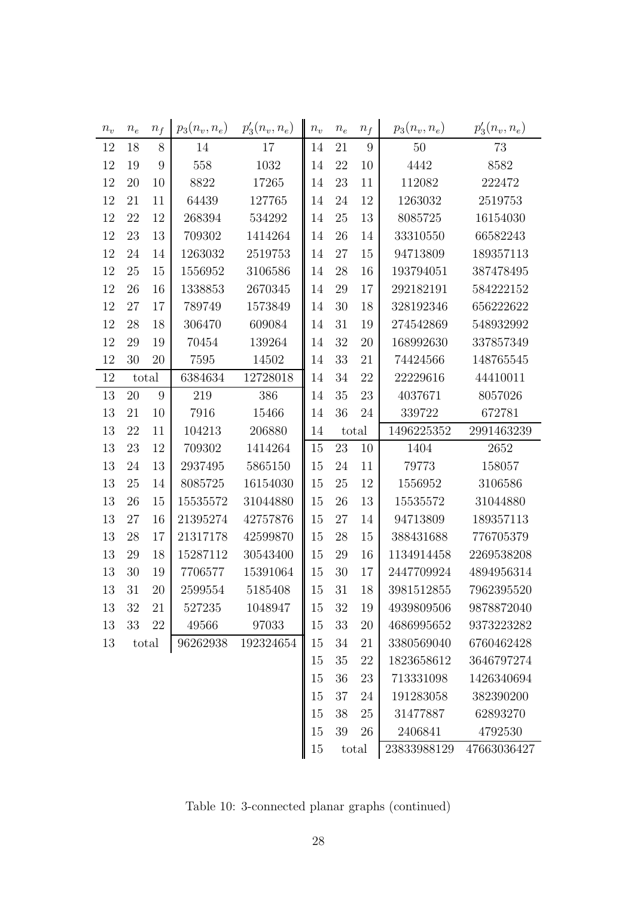| $n_v$ | $n_e$ | $n_f$ | $p_3(n_v, n_e)$ | $p'_{3}(n_{v}, n_{e})$ | $n_v$ | $n_e$ | $n_f$ | $p_3(n_v, n_e)$ | $p'_{3}(n_{v}, n_{e})$ |
|-------|-------|-------|-----------------|------------------------|-------|-------|-------|-----------------|------------------------|
| 12    | 18    | 8     | 14              | 17                     | 14    | 21    | 9     | 50              | 73                     |
| 12    | 19    | 9     | 558             | 1032                   | 14    | 22    | 10    | 4442            | 8582                   |
| 12    | 20    | 10    | 8822            | 17265                  | 14    | 23    | 11    | 112082          | 222472                 |
| 12    | 21    | 11    | 64439           | 127765                 | 14    | 24    | 12    | 1263032         | 2519753                |
| 12    | 22    | 12    | 268394          | 534292                 | 14    | 25    | 13    | 8085725         | 16154030               |
| 12    | 23    | 13    | 709302          | 1414264                | 14    | 26    | 14    | 33310550        | 66582243               |
| 12    | 24    | 14    | 1263032         | 2519753                | 14    | 27    | 15    | 94713809        | 189357113              |
| 12    | 25    | 15    | 1556952         | 3106586                | 14    | 28    | 16    | 193794051       | 387478495              |
| 12    | 26    | 16    | 1338853         | 2670345                | 14    | 29    | 17    | 292182191       | 584222152              |
| 12    | 27    | 17    | 789749          | 1573849                | 14    | 30    | 18    | 328192346       | 656222622              |
| 12    | 28    | 18    | 306470          | 609084                 | 14    | 31    | 19    | 274542869       | 548932992              |
| 12    | 29    | 19    | 70454           | 139264                 | 14    | 32    | 20    | 168992630       | 337857349              |
| 12    | 30    | 20    | 7595            | 14502                  | 14    | 33    | 21    | 74424566        | 148765545              |
| 12    | total |       | 6384634         | 12728018               | 14    | 34    | 22    | 22229616        | 44410011               |
| 13    | 20    | 9     | 219             | 386                    | 14    | 35    | 23    | 4037671         | 8057026                |
| 13    | 21    | 10    | 7916            | 15466                  | 14    | 36    | 24    | 339722          | 672781                 |
| 13    | 22    | 11    | 104213          | 206880                 | 14    |       | total | 1496225352      | 2991463239             |
|       |       |       |                 |                        |       |       |       |                 |                        |
| 13    | 23    | 12    | 709302          | 1414264                | 15    | 23    | 10    | 1404            | 2652                   |
| 13    | 24    | 13    | 2937495         | 5865150                | 15    | 24    | 11    | 79773           | 158057                 |
| 13    | 25    | 14    | 8085725         | 16154030               | 15    | 25    | 12    | 1556952         | 3106586                |
| 13    | 26    | 15    | 15535572        | 31044880               | 15    | 26    | 13    | 15535572        | 31044880               |
| 13    | 27    | 16    | 21395274        | 42757876               | 15    | 27    | 14    | 94713809        | 189357113              |
| 13    | 28    | 17    | 21317178        | 42599870               | 15    | 28    | 15    | 388431688       | 776705379              |
| 13    | 29    | 18    | 15287112        | 30543400               | 15    | 29    | 16    | 1134914458      | 2269538208             |
| 13    | 30    | 19    | 7706577         | 15391064               | 15    | 30    | 17    | 2447709924      | 4894956314             |
| 13    | 31    | 20    | 2599554         | 5185408                | 15    | 31    | 18    | 3981512855      | 7962395520             |
| 13    | 32    | 21    | 527235          | 1048947                | 15    | 32    | 19    | 4939809506      | 9878872040             |
| 13    | 33    | 22    | 49566           | 97033                  | 15    | 33    | 20    | 4686995652      | 9373223282             |
| 13    | total |       | 96262938        | 192324654              | 15    | 34    | 21    | 3380569040      | 6760462428             |
|       |       |       |                 |                        | 15    | 35    | 22    | 1823658612      | 3646797274             |
|       |       |       |                 |                        | 15    | 36    | 23    | 713331098       | 1426340694             |
|       |       |       |                 |                        | 15    | 37    | 24    | 191283058       | 382390200              |
|       |       |       |                 |                        | 15    | 38    | 25    | 31477887        | 62893270               |
|       |       |       |                 |                        | 15    | 39    | 26    | 2406841         | 4792530                |

Table 10: 3-connected planar graphs (continued)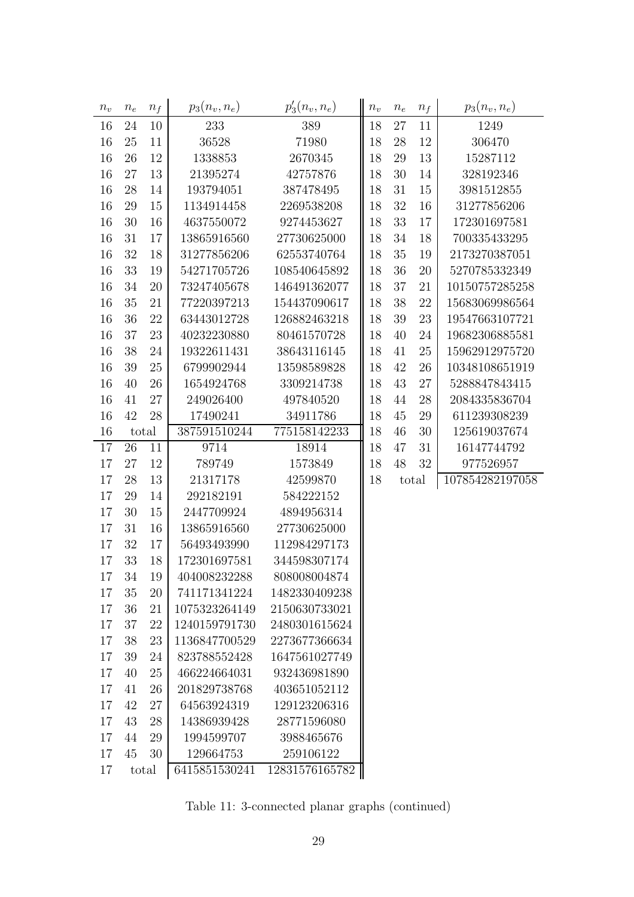| $n_v$ | $\boldsymbol{n_e}$ | $n_f$ | $p_3(n_v, n_e)$ | $p'_{3}(n_{v}, n_{e})$ | $n_{\scriptstyle v}$ | $n_{e}$ | $n_f$ | $p_3(n_v, n_e)$ |
|-------|--------------------|-------|-----------------|------------------------|----------------------|---------|-------|-----------------|
| 16    | 24                 | 10    | 233             | 389                    | 18                   | 27      | 11    | 1249            |
| 16    | 25                 | 11    | 36528           | 71980                  | 18                   | 28      | 12    | 306470          |
| 16    | 26                 | 12    | 1338853         | 2670345                | 18                   | 29      | 13    | 15287112        |
| 16    | 27                 | 13    | 21395274        | 42757876               | 18                   | 30      | 14    | 328192346       |
| 16    | 28                 | 14    | 193794051       | 387478495              | 18                   | 31      | 15    | 3981512855      |
| 16    | 29                 | 15    | 1134914458      | 2269538208             | 18                   | 32      | 16    | 31277856206     |
| 16    | 30                 | 16    | 4637550072      | 9274453627             | 18                   | 33      | 17    | 172301697581    |
| 16    | 31                 | 17    | 13865916560     | 27730625000            | 18                   | 34      | 18    | 700335433295    |
| 16    | 32                 | 18    | 31277856206     | 62553740764            | 18                   | 35      | 19    | 2173270387051   |
| 16    | 33                 | 19    | 54271705726     | 108540645892           | 18                   | 36      | 20    | 5270785332349   |
| 16    | 34                 | 20    | 73247405678     | 146491362077           | 18                   | 37      | 21    | 10150757285258  |
| 16    | 35                 | 21    | 77220397213     | 154437090617           | 18                   | 38      | 22    | 15683069986564  |
| 16    | 36                 | 22    | 63443012728     | 126882463218           | 18                   | 39      | 23    | 19547663107721  |
| 16    | 37                 | 23    | 40232230880     | 80461570728            | 18                   | 40      | 24    | 19682306885581  |
| 16    | 38                 | 24    | 19322611431     | 38643116145            | 18                   | 41      | 25    | 15962912975720  |
| 16    | 39                 | 25    | 6799902944      | 13598589828            | 18                   | 42      | 26    | 10348108651919  |
| 16    | 40                 | 26    | 1654924768      | 3309214738             | 18                   | 43      | 27    | 5288847843415   |
| 16    | 41                 | 27    | 249026400       | 497840520              | 18                   | 44      | 28    | 2084335836704   |
| 16    | 42                 | 28    | 17490241        | 34911786               | 18                   | 45      | 29    | 611239308239    |
| 16    |                    | total | 387591510244    | 775158142233           | 18                   | 46      | 30    | 125619037674    |
| 17    | 26                 | 11    | 9714            | 18914                  | 18                   | 47      | 31    | 16147744792     |
| 17    | 27                 | 12    | 789749          | 1573849                | 18                   | 48      | 32    | 977526957       |
| 17    | 28                 | 13    | 21317178        | 42599870               | 18                   | total   |       | 107854282197058 |
| 17    | 29                 | 14    | 292182191       | 584222152              |                      |         |       |                 |
| 17    | 30                 | 15    | 2447709924      | 4894956314             |                      |         |       |                 |
| 17    | 31                 | 16    | 13865916560     | 27730625000            |                      |         |       |                 |
| 17    | 32                 | 17    | 56493493990     | 112984297173           |                      |         |       |                 |
| 17    | 33                 | 18    | 172301697581    | 344598307174           |                      |         |       |                 |
| 17    | 34                 | 19    | 404008232288    | 808008004874           |                      |         |       |                 |
| 17    | 35                 | 20    | 741171341224    | 1482330409238          |                      |         |       |                 |
| 17    | 36                 | 21    | 1075323264149   | 2150630733021          |                      |         |       |                 |
| 17    | 37                 | 22    | 1240159791730   | 2480301615624          |                      |         |       |                 |
| 17    | 38                 | 23    | 1136847700529   | 2273677366634          |                      |         |       |                 |
| 17    | 39                 | 24    | 823788552428    | 1647561027749          |                      |         |       |                 |
| 17    | 40                 | 25    | 466224664031    | 932436981890           |                      |         |       |                 |
| 17    | 41                 | 26    | 201829738768    | 403651052112           |                      |         |       |                 |
| 17    | 42                 | 27    | 64563924319     | 129123206316           |                      |         |       |                 |
| 17    | 43                 | 28    | 14386939428     | 28771596080            |                      |         |       |                 |
| 17    | 44                 | 29    | 1994599707      | 3988465676             |                      |         |       |                 |
| 17    | 45                 | 30    | 129664753       | 259106122              |                      |         |       |                 |
| 17    |                    | total | 6415851530241   | 12831576165782         |                      |         |       |                 |

Table 11: 3-connected planar graphs (continued)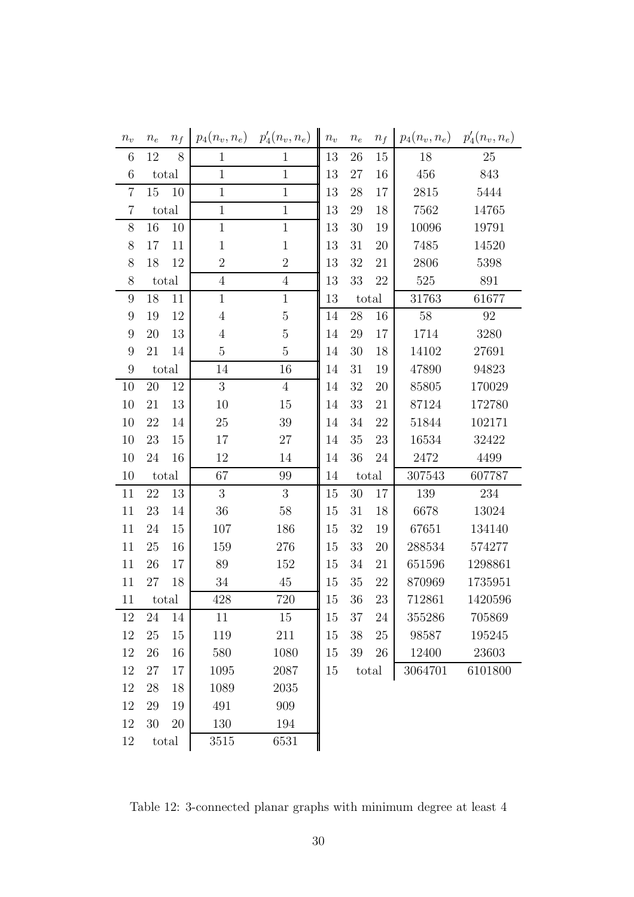| $n_v$            | $n_e$ | $n_f$ | $p_4(n_v,n_e)$   | $p_4'(n_v, n_e)$ | $n_{\scriptstyle v}$ | $\boldsymbol{n_e}$ | $n_f$  | $p_4(n_v, n_e)$ | $p'_4(n_v, n_e)$ |
|------------------|-------|-------|------------------|------------------|----------------------|--------------------|--------|-----------------|------------------|
| 6                | 12    | 8     | $\mathbf{1}$     | $\mathbf{1}$     | 13                   | 26                 | 15     | 18              | 25               |
| 6                |       | total | $\mathbf{1}$     | $\mathbf 1$      | 13                   | 27                 | 16     | 456             | 843              |
| $\overline{7}$   | 15    | 10    | $\mathbf 1$      | $1\,$            | 13                   | 28                 | 17     | 2815            | 5444             |
| $\overline{7}$   |       | total | $\mathbf{1}$     | $\mathbf{1}$     | 13                   | 29                 | 18     | 7562            | 14765            |
| 8                | 16    | 10    | $\mathbf 1$      | $\mathbf{1}$     | 13                   | 30                 | 19     | 10096           | 19791            |
| 8                | 17    | 11    | $\mathbf 1$      | $\mathbf{1}$     | 13                   | 31                 | 20     | 7485            | 14520            |
| 8                | 18    | 12    | $\sqrt{2}$       | $\overline{2}$   | 13                   | 32                 | 21     | 2806            | 5398             |
| 8                |       | total | $\overline{4}$   | $\overline{4}$   | 13                   | 33                 | $22\,$ | 525             | 891              |
| $9\phantom{.0}$  | 18    | 11    | $\mathbf{1}$     | $\mathbf{1}$     | 13                   |                    | total  | 31763           | 61677            |
| $\boldsymbol{9}$ | 19    | 12    | $\overline{4}$   | $\overline{5}$   | 14                   | 28                 | 16     | 58              | 92               |
| $9\phantom{.0}$  | 20    | 13    | $\overline{4}$   | $\overline{5}$   | 14                   | 29                 | 17     | 1714            | 3280             |
| 9                | 21    | 14    | $\overline{5}$   | $\overline{5}$   | 14                   | 30                 | 18     | 14102           | 27691            |
| 9                |       | total | 14               | 16               | 14                   | 31                 | 19     | 47890           | 94823            |
| 10               | 20    | 12    | $\boldsymbol{3}$ | $\overline{4}$   | 14                   | 32                 | 20     | 85805           | 170029           |
| 10               | 21    | 13    | 10               | 15               | 14                   | 33                 | 21     | 87124           | 172780           |
| 10               | 22    | 14    | 25               | 39               | 14                   | 34                 | $22\,$ | 51844           | 102171           |
| 10               | 23    | 15    | 17               | 27               | 14                   | 35                 | $23\,$ | 16534           | 32422            |
| 10               | 24    | 16    | 12               | 14               | 14                   | 36                 | $24\,$ | 2472            | 4499             |
| 10               |       | total | 67               | 99               | 14                   |                    | total  | 307543          | 607787           |
| 11               | 22    | 13    | 3                | 3                | 15                   | 30                 | 17     | 139             | 234              |
| 11               | 23    | 14    | 36               | 58               | 15                   | 31                 | 18     | 6678            | 13024            |
| 11               | 24    | 15    | 107              | 186              | 15                   | 32                 | 19     | 67651           | 134140           |
| 11               | 25    | 16    | 159              | 276              | 15                   | 33                 | 20     | 288534          | 574277           |
| 11               | 26    | 17    | 89               | 152              | 15                   | 34                 | 21     | 651596          | 1298861          |
| 11               | 27    | 18    | 34               | 45               | 15                   | 35                 | $22\,$ | 870969          | 1735951          |
| 11               |       | total | 428              | 720              | 15                   | 36                 | 23     | 712861          | 1420596          |
| 12               | 24    | 14    | 11               | 15               | 15                   | 37                 | 24     | 355286          | 705869           |
| 12               | 25    | 15    | 119              | 211              | 15                   | 38                 | 25     | 98587           | 195245           |
| 12               | 26    | 16    | 580              | 1080             | 15                   | 39                 | 26     | 12400           | 23603            |
| 12               | 27    | 17    | 1095             | 2087             | 15                   |                    | total  | 3064701         | 6101800          |
| 12               | 28    | 18    | 1089             | 2035             |                      |                    |        |                 |                  |
| 12               | 29    | 19    | 491              | 909              |                      |                    |        |                 |                  |
| 12               | 30    | 20    | 130              | 194              |                      |                    |        |                 |                  |
| 12               |       | total | 3515             | 6531             |                      |                    |        |                 |                  |

Table 12: 3-connected planar graphs with minimum degree at least 4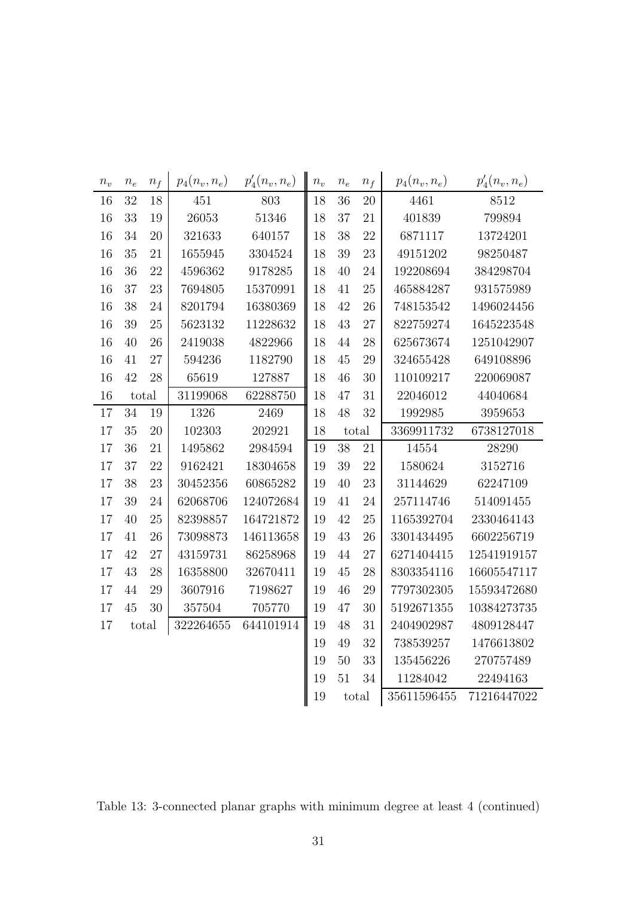| $n_v$ | $\mathfrak{n}_e$ | $n_f$ | $p_4(n_v, n_e)$ | $p'_4(n_v, n_e)$ | $n_{\scriptstyle v}$ | $\boldsymbol{n_e}$ | $\boldsymbol{n_f}$ | $p_4(n_v,n_e)$ | $p'_4(n_v, n_e)$ |
|-------|------------------|-------|-----------------|------------------|----------------------|--------------------|--------------------|----------------|------------------|
| 16    | 32               | 18    | 451             | 803              | 18                   | 36                 | 20                 | 4461           | 8512             |
| 16    | 33               | 19    | 26053           | 51346            | 18                   | 37                 | 21                 | 401839         | 799894           |
| 16    | 34               | 20    | 321633          | 640157           | 18                   | 38                 | 22                 | 6871117        | 13724201         |
| 16    | 35               | 21    | 1655945         | 3304524          | $18\,$               | 39                 | 23                 | 49151202       | 98250487         |
| 16    | 36               | 22    | 4596362         | 9178285          | 18                   | 40                 | 24                 | 192208694      | 384298704        |
| 16    | 37               | 23    | 7694805         | 15370991         | 18                   | 41                 | 25                 | 465884287      | 931575989        |
| 16    | 38               | 24    | 8201794         | 16380369         | 18                   | 42                 | 26                 | 748153542      | 1496024456       |
| 16    | 39               | 25    | 5623132         | 11228632         | 18                   | 43                 | 27                 | 822759274      | 1645223548       |
| 16    | 40               | 26    | 2419038         | 4822966          | 18                   | 44                 | 28                 | 625673674      | 1251042907       |
| 16    | 41               | 27    | 594236          | 1182790          | 18                   | $45\,$             | 29                 | 324655428      | 649108896        |
| 16    | 42               | 28    | 65619           | 127887           | 18                   | 46                 | 30                 | 110109217      | 220069087        |
| 16    |                  | total | 31199068        | 62288750         | 18                   | 47                 | 31                 | 22046012       | 44040684         |
| 17    | 34               | 19    | 1326            | 2469             | 18                   | 48                 | 32                 | 1992985        | 3959653          |
| 17    | 35               | 20    | 102303          | 202921           | 18                   |                    | total              | 3369911732     | 6738127018       |
|       |                  |       |                 |                  |                      |                    |                    |                |                  |
| 17    | 36               | 21    | 1495862         | 2984594          | 19                   | 38                 | 21                 | 14554          | 28290            |
| 17    | 37               | 22    | 9162421         | 18304658         | 19                   | 39                 | 22                 | 1580624        | 3152716          |
| 17    | 38               | 23    | 30452356        | 60865282         | 19                   | 40                 | 23                 | 31144629       | 62247109         |
| 17    | 39               | 24    | 62068706        | 124072684        | 19                   | 41                 | 24                 | 257114746      | 514091455        |
| 17    | 40               | 25    | 82398857        | 164721872        | 19                   | 42                 | 25                 | 1165392704     | 2330464143       |
| 17    | 41               | 26    | 73098873        | 146113658        | 19                   | 43                 | 26                 | 3301434495     | 6602256719       |
| 17    | 42               | 27    | 43159731        | 86258968         | 19                   | 44                 | 27                 | 6271404415     | 12541919157      |
| 17    | 43               | 28    | 16358800        | 32670411         | 19                   | 45                 | 28                 | 8303354116     | 16605547117      |
| 17    | 44               | 29    | 3607916         | 7198627          | 19                   | 46                 | 29                 | 7797302305     | 15593472680      |
| 17    | 45               | 30    | 357504          | 705770           | 19                   | 47                 | 30                 | 5192671355     | 10384273735      |
| 17    |                  | total | 322264655       | 644101914        | 19                   | 48                 | 31                 | 2404902987     | 4809128447       |
|       |                  |       |                 |                  | 19                   | 49                 | 32                 | 738539257      | 1476613802       |
|       |                  |       |                 |                  | 19                   | $50\,$             | 33                 | 135456226      | 270757489        |
|       |                  |       |                 |                  | 19                   | 51                 | 34                 | 11284042       | 22494163         |

Table 13: 3-connected planar graphs with minimum degree at least 4 (continued)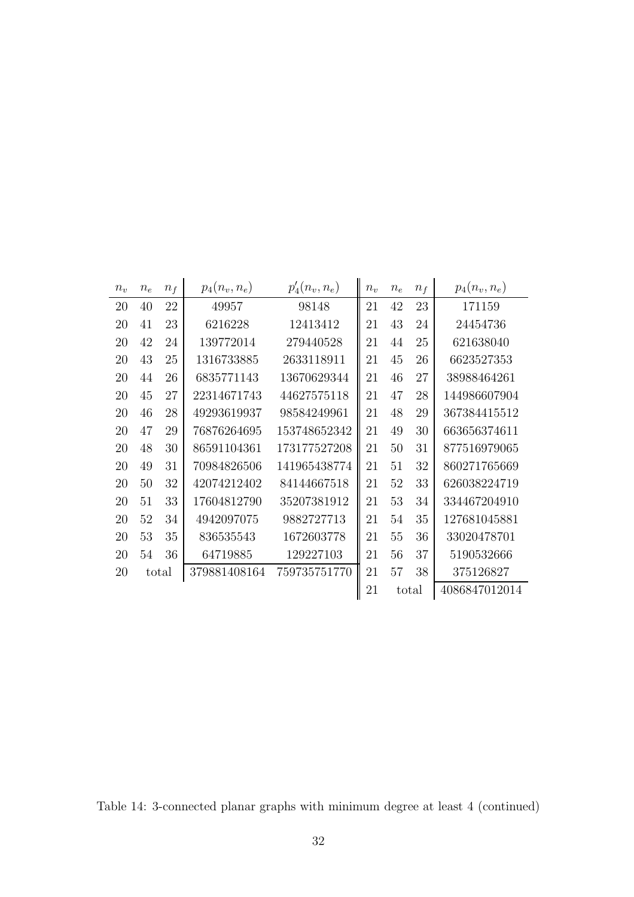| $n_{\nu}$ | $n_e$ | $n_f$ | $p_4(n_v, n_e)$ | $p_4'(n_v, n_e)$ | $n_{\nu}$ | $n_e$ | $n_f$ | $p_4(n_v, n_e)$ |
|-----------|-------|-------|-----------------|------------------|-----------|-------|-------|-----------------|
| 20        | 40    | 22    | 49957           | 98148            | 21        | 42    | 23    | 171159          |
| 20        | 41    | 23    | 6216228         | 12413412         | 21        | 43    | 24    | 24454736        |
| 20        | 42    | 24    | 139772014       | 279440528        | 21        | 44    | 25    | 621638040       |
| 20        | 43    | 25    | 1316733885      | 2633118911       | 21        | 45    | 26    | 6623527353      |
| 20        | 44    | 26    | 6835771143      | 13670629344      | 21        | 46    | 27    | 38988464261     |
| 20        | 45    | 27    | 22314671743     | 44627575118      | 21        | 47    | 28    | 144986607904    |
| 20        | 46    | 28    | 49293619937     | 98584249961      | 21        | 48    | 29    | 367384415512    |
| 20        | 47    | 29    | 76876264695     | 153748652342     | 21        | 49    | 30    | 663656374611    |
| 20        | 48    | 30    | 86591104361     | 173177527208     | 21        | 50    | 31    | 877516979065    |
| 20        | 49    | 31    | 70984826506     | 141965438774     | 21        | 51    | 32    | 860271765669    |
| 20        | 50    | 32    | 42074212402     | 84144667518      | 21        | 52    | 33    | 626038224719    |
| 20        | 51    | 33    | 17604812790     | 35207381912      | 21        | 53    | 34    | 334467204910    |
| 20        | 52    | 34    | 4942097075      | 9882727713       | 21        | 54    | 35    | 127681045881    |
| 20        | 53    | 35    | 836535543       | 1672603778       | 21        | 55    | 36    | 33020478701     |
| 20        | 54    | 36    | 64719885        | 129227103        | 21        | 56    | 37    | 5190532666      |
| 20        | total |       | 379881408164    | 759735751770     | 21        | 57    | 38    | 375126827       |
|           |       |       |                 |                  | 21        |       | total | 4086847012014   |

Table 14: 3-connected planar graphs with minimum degree at least 4 (continued)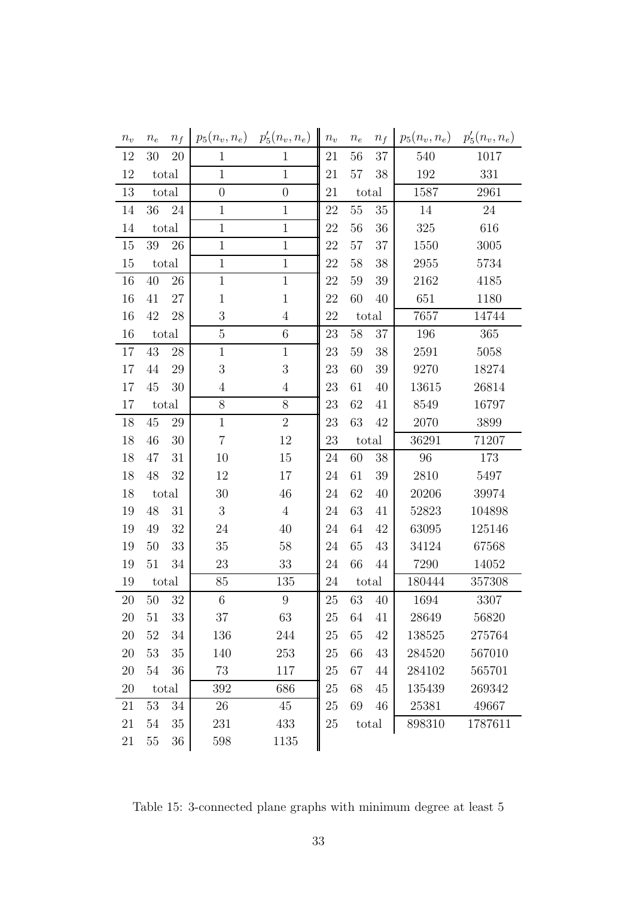| $n_v$  | $n_e$  | $n_f$ | $p_5(n_v,n_e)$   | $p'_{5}(n_{v}, n_{e})$ | $n_v$ | $n_{e}$ | $n_f$ | $p_5(n_v, n_e)$ | $p'_{5}(n_{v}, n_{e})$ |
|--------|--------|-------|------------------|------------------------|-------|---------|-------|-----------------|------------------------|
| 12     | 30     | 20    | $\mathbf{1}$     | $\mathbf{1}$           | 21    | 56      | 37    | 540             | 1017                   |
| 12     |        | total | $\mathbf{1}$     | $\mathbf{1}$           | 21    | 57      | 38    | 192             | 331                    |
| 13     |        | total | $\boldsymbol{0}$ | $\boldsymbol{0}$       | 21    |         | total | 1587            | 2961                   |
| 14     | 36     | 24    | $\mathbf{1}$     | $\mathbf{1}$           | 22    | $55\,$  | 35    | 14              | 24                     |
| 14     |        | total | $\mathbf 1$      | $\mathbf{1}$           | 22    | 56      | 36    | 325             | 616                    |
| 15     | 39     | 26    | $\mathbf 1$      | $1\,$                  | 22    | 57      | 37    | 1550            | 3005                   |
| 15     |        | total | $\mathbf{1}$     | $\mathbf{1}$           | 22    | 58      | 38    | 2955            | 5734                   |
| 16     | 40     | 26    | $\mathbf{1}$     | $\mathbf{1}$           | 22    | 59      | 39    | 2162            | 4185                   |
| 16     | 41     | 27    | $\mathbf{1}$     | $\mathbf{1}$           | 22    | 60      | 40    | 651             | 1180                   |
| 16     | 42     | 28    | $\boldsymbol{3}$ | $\overline{4}$         | 22    |         | total | 7657            | 14744                  |
| 16     |        | total | $\mathbf 5$      | $\,6\,$                | 23    | 58      | 37    | 196             | 365                    |
| 17     | 43     | 28    | $\mathbf{1}$     | $\mathbf{1}$           | 23    | 59      | 38    | 2591            | 5058                   |
| 17     | 44     | 29    | 3                | 3                      | 23    | 60      | 39    | 9270            | 18274                  |
| 17     | 45     | 30    | $\overline{4}$   | $\overline{4}$         | 23    | 61      | 40    | 13615           | 26814                  |
| 17     |        | total | $8\,$            | $8\,$                  | 23    | 62      | 41    | 8549            | 16797                  |
| 18     | 45     | 29    | $\mathbf{1}$     | $\sqrt{2}$             | 23    | 63      | 42    | 2070            | 3899                   |
| 18     | 46     | 30    | $\overline{7}$   | 12                     | 23    |         | total | 36291           | 71207                  |
| 18     | 47     | 31    | 10               | 15                     | 24    | 60      | 38    | 96              | 173                    |
| 18     | 48     | 32    | 12               | 17                     | 24    | 61      | 39    | 2810            | 5497                   |
| 18     |        | total | 30               | 46                     | 24    | 62      | 40    | 20206           | 39974                  |
| 19     | 48     | 31    | $\sqrt{3}$       | $\overline{4}$         | 24    | 63      | 41    | 52823           | 104898                 |
| 19     | 49     | 32    | $24\,$           | 40                     | 24    | 64      | 42    | 63095           | 125146                 |
| 19     | 50     | 33    | 35               | 58                     | 24    | 65      | 43    | 34124           | 67568                  |
| 19     | 51     | 34    | 23               | 33                     | 24    | 66      | 44    | 7290            | 14052                  |
| 19     |        | total | 85               | 135                    | 24    |         | total | 180444          | 357308                 |
| 20     | 50     | 32    | $\,$ 6 $\,$      | $\boldsymbol{9}$       | 25    | 63      | 40    | 1694            | 3307                   |
| 20     | 51     | 33    | 37               | 63                     | 25    | 64      | 41    | 28649           | 56820                  |
| 20     | 52     | 34    | 136              | 244                    | 25    | 65      | 42    | 138525          | 275764                 |
| 20     | 53     | 35    | 140              | 253                    | 25    | 66      | 43    | 284520          | 567010                 |
| $20\,$ | $54\,$ | 36    | 73               | 117                    | 25    | 67      | 44    | 284102          | 565701                 |
| 20     |        | total | 392              | 686                    | 25    | 68      | 45    | 135439          | 269342                 |
| 21     | 53     | 34    | 26               | 45                     | 25    | 69      | 46    | 25381           | 49667                  |
| 21     | 54     | 35    | 231              | 433                    | 25    |         | total | 898310          | 1787611                |
| 21     | $55\,$ | 36    | 598              | 1135                   |       |         |       |                 |                        |

Table 15: 3-connected plane graphs with minimum degree at least 5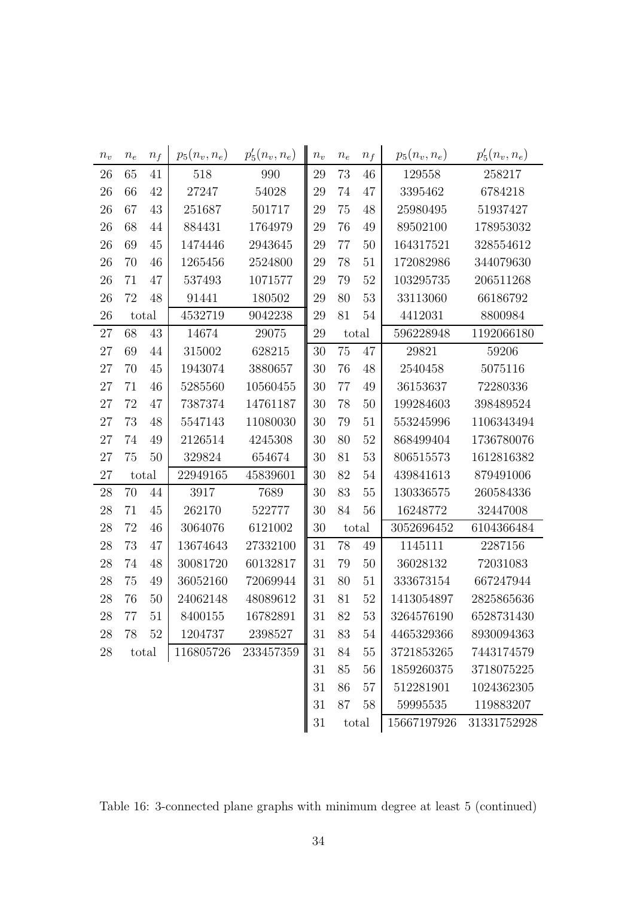| $n_v$ | $\boldsymbol{n_e}$ | $n_f$  | $p_5(n_v, n_e)$ | $p'_{5}(n_{v}, n_{e})$ | $n_v$  | $n_e$       | $n_f$       | $p_5(n_v, n_e)$ | $p'_{5}(n_{v}, n_{e})$ |
|-------|--------------------|--------|-----------------|------------------------|--------|-------------|-------------|-----------------|------------------------|
| 26    | 65                 | 41     | 518             | 990                    | 29     | 73          | 46          | 129558          | 258217                 |
| 26    | 66                 | 42     | 27247           | 54028                  | 29     | 74          | 47          | 3395462         | 6784218                |
| 26    | 67                 | 43     | 251687          | 501717                 | 29     | 75          | 48          | 25980495        | 51937427               |
| 26    | 68                 | 44     | 884431          | 1764979                | 29     | 76          | 49          | 89502100        | 178953032              |
| 26    | 69                 | 45     | 1474446         | 2943645                | 29     | 77          | 50          | 164317521       | 328554612              |
| 26    | 70                 | 46     | 1265456         | 2524800                | 29     | 78          | 51          | 172082986       | 344079630              |
| 26    | 71                 | 47     | 537493          | 1071577                | 29     | 79          | 52          | 103295735       | 206511268              |
| 26    | 72                 | 48     | 91441           | 180502                 | 29     | 80          | 53          | 33113060        | 66186792               |
| 26    | total              |        | 4532719         | 9042238                | 29     | 81          | 54          | 4412031         | 8800984                |
| 27    | 68                 | 43     | 14674           | 29075                  | 29     |             | total       | 596228948       | 1192066180             |
| 27    | 69                 | 44     | 315002          | 628215                 | 30     | 75          | 47          | 29821           | 59206                  |
| 27    | 70                 | 45     | 1943074         | 3880657                | 30     | 76          | 48          | 2540458         | 5075116                |
| 27    | 71                 | 46     | 5285560         | 10560455               | 30     | 77          | 49          | 36153637        | 72280336               |
| 27    | 72                 | 47     | 7387374         | 14761187               | 30     | 78          | 50          | 199284603       | 398489524              |
| 27    | 73                 | 48     | 5547143         | 11080030               | 30     | 79          | 51          | 553245996       | 1106343494             |
| 27    | 74                 | 49     | 2126514         | 4245308                | 30     | 80          | 52          | 868499404       | 1736780076             |
| 27    | 75                 | 50     | 329824          | 654674                 | 30     | 81          | 53          | 806515573       | 1612816382             |
| 27    | total              |        | 22949165        | 45839601               | 30     | 82          | 54          | 439841613       | 879491006              |
| 28    | 70                 | 44     | 3917            | 7689                   | 30     | 83          | 55          | 130336575       | 260584336              |
| 28    | 71                 | 45     | 262170          | 522777                 | 30     | 84          | 56          | 16248772        | 32447008               |
| 28    | 72                 | 46     | 3064076         | 6121002                | 30     |             | total       | 3052696452      | 6104366484             |
| 28    | 73                 | 47     | 13674643        | 27332100               | 31     | 78          | 49          | 1145111         | 2287156                |
| 28    | 74                 | 48     | 30081720        | 60132817               | 31     | 79          | 50          | 36028132        | 72031083               |
| 28    | 75                 | 49     | 36052160        | 72069944               | 31     | 80          | 51          | 333673154       | 667247944              |
| 28    | 76                 | 50     | 24062148        | 48089612               | 31     | 81          | 52          | 1413054897      | 2825865636             |
| 28    | 77                 | 51     | 8400155         | 16782891               | 31     | 82          | 53          | 3264576190      | 6528731430             |
| 28    | 78                 | $52\,$ | 1204737         | 2398527                | $31\,$ | 83          | 54          | 4465329366      | 8930094363             |
| 28    | total              |        | 116805726       | 233457359              | 31     | 84          | 55          | 3721853265      | 7443174579             |
|       |                    |        |                 |                        | 31     | 85          | 56          | 1859260375      | 3718075225             |
|       |                    |        |                 |                        | 31     | 86          | 57          | 512281901       | 1024362305             |
|       |                    |        |                 |                        | 31     | 87          | 58          | 59995535        | 119883207              |
|       | 31<br>total        |        |                 |                        |        | 15667197926 | 31331752928 |                 |                        |

Table 16: 3-connected plane graphs with minimum degree at least 5 (continued)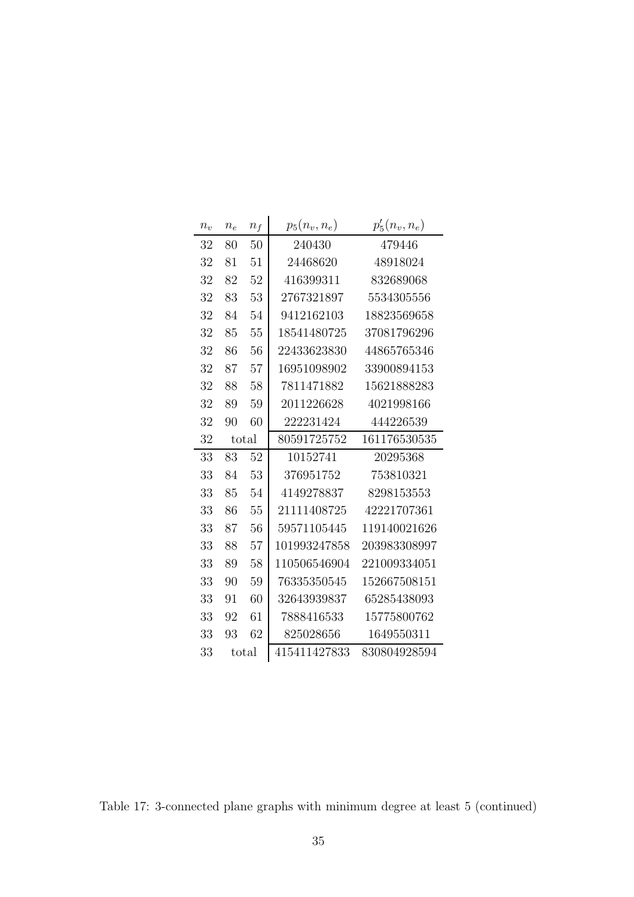| $n_v$ | $n_e$ | $n_f$ | $p_5(n_v,n_e)$ | $p'_{5}(n_{v}, n_{e})$ |
|-------|-------|-------|----------------|------------------------|
| 32    | 80    | 50    | 240430         | 479446                 |
| 32    | 81    | 51    | 24468620       | 48918024               |
| 32    | 82    | 52    | 416399311      | 832689068              |
| 32    | 83    | 53    | 2767321897     | 5534305556             |
| 32    | 84    | 54    | 9412162103     | 18823569658            |
| 32    | 85    | 55    | 18541480725    | 37081796296            |
| 32    | 86    | 56    | 22433623830    | 44865765346            |
| 32    | 87    | 57    | 16951098902    | 33900894153            |
| 32    | 88    | 58    | 7811471882     | 15621888283            |
| 32    | 89    | 59    | 2011226628     | 4021998166             |
| 32    | 90    | 60    | 222231424      | 444226539              |
| 32    | total |       | 80591725752    | 161176530535           |
| 33    | 83    | 52    | 10152741       | 20295368               |
| 33    | 84    | 53    | 376951752      | 753810321              |
| 33    | 85    | 54    | 4149278837     | 8298153553             |
| 33    | 86    | 55    | 21111408725    | 42221707361            |
| 33    | 87    | 56    | 59571105445    | 119140021626           |
| 33    | 88    | 57    | 101993247858   | 203983308997           |
| 33    | 89    | 58    | 110506546904   | 221009334051           |
| 33    | 90    | 59    | 76335350545    | 152667508151           |
| 33    | 91    | 60    | 32643939837    | 65285438093            |
| 33    | 92    | 61    | 7888416533     | 15775800762            |
| 33    | 93    | 62    | 825028656      | 1649550311             |
| 33    | total |       | 415411427833   | 830804928594           |

Table 17: 3-connected plane graphs with minimum degree at least 5 (continued)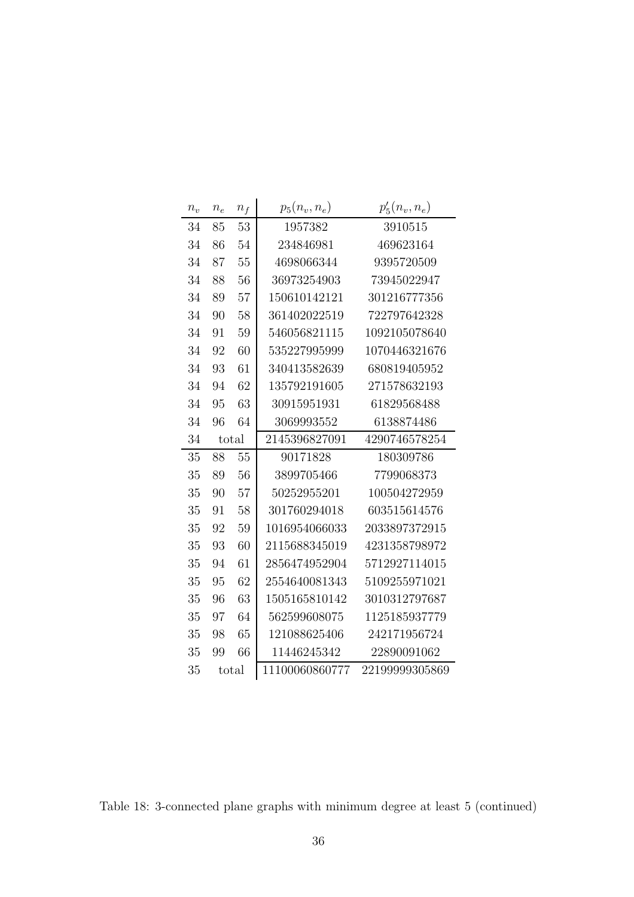| $n_v$ | $\boldsymbol{n_e}$ | $n_f$ | $p_5(n_v, n_e)$ | $p'_{5}(n_{v}, n_{e})$ |
|-------|--------------------|-------|-----------------|------------------------|
| 34    | 85                 | 53    | 1957382         | 3910515                |
| 34    | 86                 | 54    | 234846981       | 469623164              |
| 34    | 87                 | 55    | 4698066344      | 9395720509             |
| 34    | 88                 | 56    | 36973254903     | 73945022947            |
| 34    | 89                 | 57    | 150610142121    | 301216777356           |
| 34    | 90                 | 58    | 361402022519    | 722797642328           |
| 34    | 91                 | 59    | 546056821115    | 1092105078640          |
| 34    | 92                 | 60    | 535227995999    | 1070446321676          |
| 34    | 93                 | 61    | 340413582639    | 680819405952           |
| 34    | 94                 | 62    | 135792191605    | 271578632193           |
| 34    | 95                 | 63    | 30915951931     | 61829568488            |
| 34    | 96                 | 64    | 3069993552      | 6138874486             |
| 34    |                    | total | 2145396827091   | 4290746578254          |
| 35    | 88                 | 55    | 90171828        | 180309786              |
| 35    | 89                 | 56    | 3899705466      | 7799068373             |
| 35    | 90                 | 57    | 50252955201     | 100504272959           |
| 35    | 91                 | 58    | 301760294018    | 603515614576           |
| 35    | 92                 | 59    | 1016954066033   | 2033897372915          |
| 35    | 93                 | 60    | 2115688345019   | 4231358798972          |
| 35    | 94                 | 61    | 2856474952904   | 5712927114015          |
| 35    | 95                 | 62    | 2554640081343   | 5109255971021          |
| 35    | 96                 | 63    | 1505165810142   | 3010312797687          |
| 35    | 97                 | 64    | 562599608075    | 1125185937779          |
| 35    | 98                 | 65    | 121088625406    | 242171956724           |
| 35    | 99                 | 66    | 11446245342     | 22890091062            |
| 35    |                    | total | 11100060860777  | 22199999305869         |

Table 18: 3-connected plane graphs with minimum degree at least 5 (continued)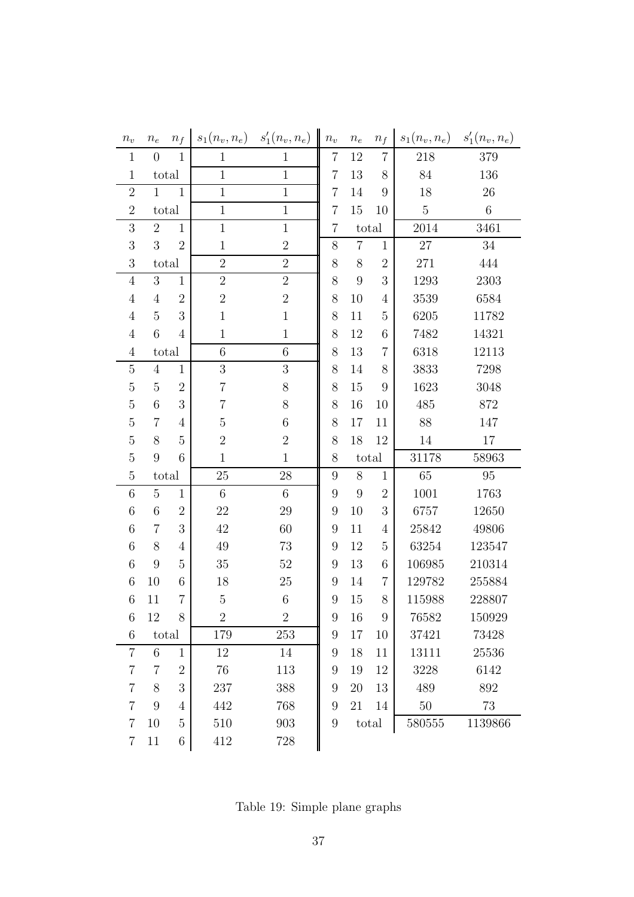| $n_{\scriptstyle v}$ | $n_e$          | $n_f$          | $s_1(n_v, n_e)$ | $s'_{1}(n_{v}, n_{e})$ | $n_{\scriptstyle v}$ | $n_{e}$        | $n_f$          | $s_1(n_v, n_e)$ | $s'_{1}(n_{v}, n_{e})$ |
|----------------------|----------------|----------------|-----------------|------------------------|----------------------|----------------|----------------|-----------------|------------------------|
| $\mathbf{1}$         | $\overline{0}$ | $\mathbf{1}$   | $\mathbf{1}$    | $\mathbf 1$            | $\overline{7}$       | 12             | $\overline{7}$ | 218             | 379                    |
| $\mathbf{1}$         |                | total          | $\mathbf{1}$    | $\mathbf{1}$           | 7                    | 13             | 8              | 84              | 136                    |
| $\overline{2}$       | $\mathbf{1}$   | $\mathbf{1}$   | $\mathbf{1}$    | $\mathbf{1}$           | $\overline{7}$       | 14             | 9              | 18              | 26                     |
| $\overline{2}$       |                | total          | $\mathbf{1}$    | $\mathbf{1}$           | $\overline{7}$       | 15             | 10             | $\overline{5}$  | $\,6\,$                |
| 3                    | $\overline{2}$ | $\mathbf{1}$   | $\mathbf{1}$    | $\mathbf{1}$           | 7                    |                | $_{\rm total}$ | 2014            | 3461                   |
| 3                    | 3              | $\overline{2}$ | $\mathbf 1$     | $\overline{2}$         | $8\,$                | $\overline{7}$ | $\mathbf{1}$   | 27              | 34                     |
| 3                    |                | total          | $\overline{2}$  | $\overline{2}$         | $8\,$                | 8              | $\overline{2}$ | 271             | 444                    |
| $\overline{4}$       | 3              | $\mathbf{1}$   | $\sqrt{2}$      | $\overline{2}$         | 8                    | 9              | 3              | 1293            | 2303                   |
| $\overline{4}$       | $\overline{4}$ | $\sqrt{2}$     | $\sqrt{2}$      | $\overline{2}$         | $8\,$                | 10             | 4              | 3539            | 6584                   |
| $\overline{4}$       | $\overline{5}$ | 3              | $\mathbf{1}$    | $\mathbf{1}$           | $8\,$                | 11             | 5              | 6205            | 11782                  |
| $\overline{4}$       | 6              | $\overline{4}$ | $\mathbf 1$     | $\mathbf{1}$           | $8\,$                | 12             | 6              | 7482            | 14321                  |
| $\overline{4}$       |                | total          | 6               | $\sqrt{6}$             | $8\,$                | 13             | $\overline{7}$ | 6318            | 12113                  |
| $\overline{5}$       | $\overline{4}$ | $\mathbf{1}$   | $\sqrt{3}$      | 3                      | 8                    | 14             | 8              | 3833            | 7298                   |
| $\overline{5}$       | $\overline{5}$ | $\overline{2}$ | $\overline{7}$  | $8\,$                  | 8                    | 15             | 9              | 1623            | 3048                   |
| $\overline{5}$       | 6              | 3              | 7               | $8\,$                  | $8\,$                | 16             | 10             | 485             | 872                    |
| $\overline{5}$       | $\overline{7}$ | 4              | $\overline{5}$  | 6                      | 8                    | 17             | 11             | 88              | 147                    |
| $\overline{5}$       | 8              | $\overline{5}$ | $\overline{2}$  | $\overline{2}$         | 8                    | 18             | 12             | 14              | 17                     |
| $\overline{5}$       | 9              | 6              | $\mathbf{1}$    | $\mathbf{1}$           | 8                    |                | total          | 31178           | 58963                  |
| $\overline{5}$       |                | total          | 25              | $28\,$                 | 9                    | $8\,$          | $\mathbf{1}$   | 65              | 95                     |
| 6                    | $\overline{5}$ | $\mathbf{1}$   | $\,$ 6 $\,$     | $6\,$                  | $\boldsymbol{9}$     | 9              | $\overline{2}$ | 1001            | 1763                   |
| 6                    | 6              | $\overline{2}$ | 22              | $29\,$                 | $\boldsymbol{9}$     | 10             | 3              | 6757            | 12650                  |
| 6                    | $\overline{7}$ | 3              | 42              | 60                     | $\boldsymbol{9}$     | 11             | 4              | 25842           | 49806                  |
| 6                    | 8              | $\overline{4}$ | 49              | 73                     | 9                    | 12             | 5              | 63254           | 123547                 |
| 6                    | 9              | $\overline{5}$ | 35              | $52\,$                 | 9                    | 13             | 6              | 106985          | 210314                 |
| 6                    | 10             | $\,6$          | 18              | $25\,$                 | $\boldsymbol{9}$     | 14             | $\overline{7}$ | 129782          | 255884                 |
| 6                    | 11             | $\overline{7}$ | $\mathbf 5$     | 6                      | 9                    | 15             | 8              | 115988          | 228807                 |
| 6                    | 12             | 8              | $\overline{2}$  | $\overline{2}$         | 9                    | 16             | 9              | 76582           | 150929                 |
| 6                    |                | total          | 179             | 253                    | 9                    | 17             | 10             | 37421           | 73428                  |
| $\overline{7}$       | 6              | $\mathbf{1}$   | 12              | 14                     | 9                    | 18             | 11             | 13111           | 25536                  |
| $\overline{7}$       | 7              | $\overline{2}$ | 76              | 113                    | 9                    | 19             | 12             | 3228            | 6142                   |
| $\overline{7}$       | 8              | 3              | 237             | 388                    | 9                    | $20\,$         | 13             | 489             | 892                    |
| $\overline{7}$       | 9              | $\overline{4}$ | 442             | 768                    | 9                    | 21             | 14             | $50\,$          | 73                     |
| $\overline{7}$       | 10             | $\overline{5}$ | 510             | 903                    | $\boldsymbol{9}$     |                | total          | 580555          | 1139866                |
| $\overline{7}$       | 11             | $\,6$          | 412             | 728                    |                      |                |                |                 |                        |

Table 19: Simple plane graphs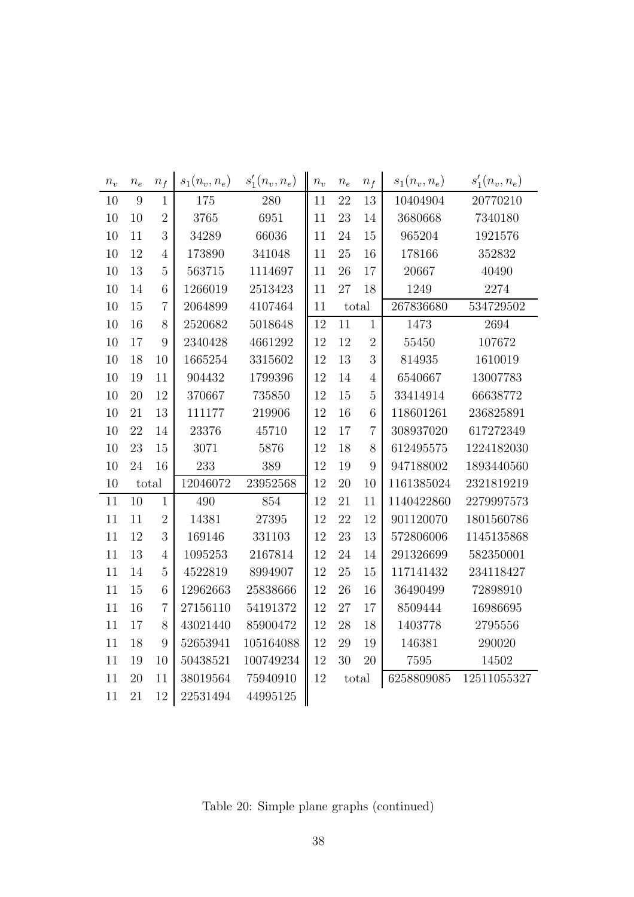| $n_v$  | $n_e$  | $n_f$          | $s_1(n_v, n_e)$ | $s'_{1}(n_{v}, n_{e})$ | $n_v$ | $n_e$  | $n_f$          | $s_1(n_v, n_e)$ | $s'_{1}(n_{v}, n_{e})$ |
|--------|--------|----------------|-----------------|------------------------|-------|--------|----------------|-----------------|------------------------|
| 10     | 9      | $\mathbf{1}$   | 175             | 280                    | 11    | 22     | 13             | 10404904        | 20770210               |
| 10     | 10     | $\overline{2}$ | 3765            | 6951                   | 11    | 23     | 14             | 3680668         | 7340180                |
| 10     | 11     | 3              | 34289           | 66036                  | 11    | 24     | 15             | 965204          | 1921576                |
| 10     | 12     | $\overline{4}$ | 173890          | 341048                 | 11    | 25     | 16             | 178166          | 352832                 |
| $10\,$ | 13     | 5              | 563715          | 1114697                | 11    | 26     | 17             | 20667           | 40490                  |
| 10     | 14     | $\overline{6}$ | 1266019         | 2513423                | 11    | 27     | 18             | 1249            | 2274                   |
| 10     | $15\,$ | $\overline{7}$ | 2064899         | 4107464                | 11    |        | total          | 267836680       | 534729502              |
| 10     | 16     | 8              | 2520682         | 5018648                | 12    | 11     | $\mathbf{1}$   | 1473            | 2694                   |
| $10\,$ | 17     | 9              | 2340428         | 4661292                | 12    | 12     | $\overline{2}$ | 55450           | 107672                 |
| 10     | 18     | 10             | 1665254         | 3315602                | 12    | 13     | 3              | 814935          | 1610019                |
| 10     | 19     | 11             | 904432          | 1799396                | 12    | 14     | $\overline{4}$ | 6540667         | 13007783               |
| 10     | 20     | 12             | 370667          | 735850                 | 12    | 15     | $\overline{5}$ | 33414914        | 66638772               |
| 10     | 21     | 13             | 111177          | 219906                 | 12    | 16     | 6              | 118601261       | 236825891              |
| 10     | 22     | 14             | 23376           | 45710                  | 12    | 17     | $\overline{7}$ | 308937020       | 617272349              |
| 10     | 23     | 15             | 3071            | 5876                   | 12    | 18     | 8              | 612495575       | 1224182030             |
| 10     | 24     | 16             | 233             | 389                    | 12    | 19     | 9              | 947188002       | 1893440560             |
| 10     | total  |                | 12046072        | 23952568               | 12    | 20     | 10             | 1161385024      | 2321819219             |
| 11     | 10     | $\mathbf{1}$   | 490             | 854                    | 12    | 21     | 11             | 1140422860      | 2279997573             |
| 11     | 11     | $\overline{2}$ | 14381           | 27395                  | 12    | 22     | 12             | 901120070       | 1801560786             |
| 11     | 12     | 3              | 169146          | 331103                 | 12    | 23     | 13             | 572806006       | 1145135868             |
| 11     | 13     | $\overline{4}$ | 1095253         | 2167814                | 12    | 24     | 14             | 291326699       | 582350001              |
| 11     | 14     | $\overline{5}$ | 4522819         | 8994907                | 12    | 25     | 15             | 117141432       | 234118427              |
| 11     | 15     | 6              | 12962663        | 25838666               | 12    | 26     | 16             | 36490499        | 72898910               |
| 11     | 16     | $\overline{7}$ | 27156110        | 54191372               | 12    | 27     | 17             | 8509444         | 16986695               |
| 11     | 17     | 8              | 43021440        | 85900472               | 12    | $28\,$ | 18             | 1403778         | 2795556                |
| 11     | 18     | 9              | 52653941        | 105164088              | 12    | 29     | 19             | 146381          | 290020                 |
| 11     | 19     | 10             | 50438521        | 100749234              | 12    | 30     | 20             | 7595            | 14502                  |
| 11     | $20\,$ | 11             | 38019564        | 75940910               | 12    |        | total          | 6258809085      | 12511055327            |
| 11     | 21     | 12             | 22531494        | 44995125               |       |        |                |                 |                        |

Table 20: Simple plane graphs (continued)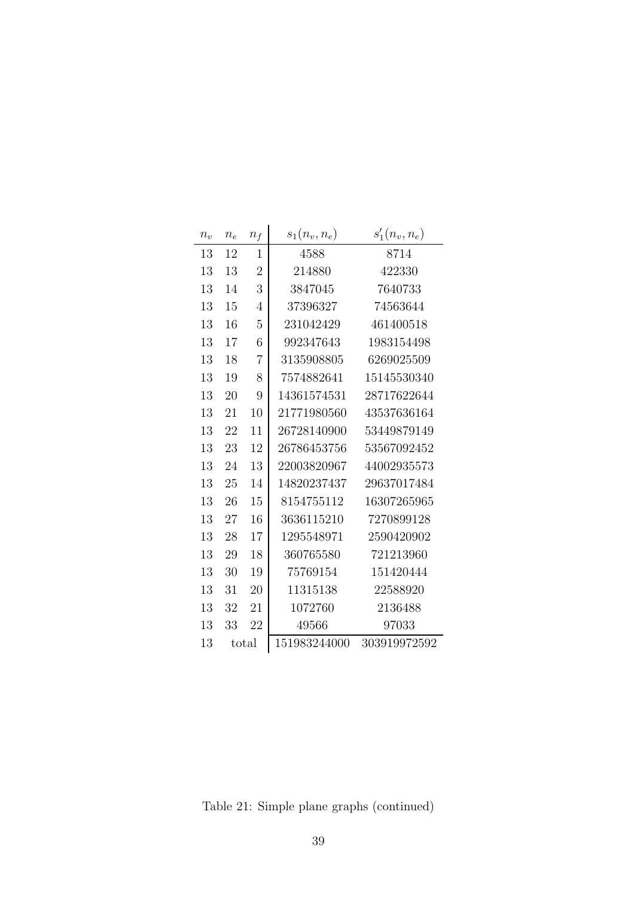| $n_v$ | $n_e$ | $n_f$          | $s_1(n_v, n_e)$ | $s'_{1}(n_{v}, n_{e})$ |
|-------|-------|----------------|-----------------|------------------------|
| 13    | 12    | $\mathbf{1}$   | 4588            | 8714                   |
| 13    | 13    | $\overline{2}$ | 214880          | 422330                 |
| 13    | 14    | 3              | 3847045         | 7640733                |
| 13    | 15    | $\overline{4}$ | 37396327        | 74563644               |
| 13    | 16    | 5              | 231042429       | 461400518              |
| 13    | 17    | 6              | 992347643       | 1983154498             |
| 13    | 18    | $\overline{7}$ | 3135908805      | 6269025509             |
| 13    | 19    | 8              | 7574882641      | 15145530340            |
| 13    | 20    | 9              | 14361574531     | 28717622644            |
| 13    | 21    | 10             | 21771980560     | 43537636164            |
| 13    | 22    | 11             | 26728140900     | 53449879149            |
| 13    | 23    | 12             | 26786453756     | 53567092452            |
| 13    | 24    | 13             | 22003820967     | 44002935573            |
| 13    | 25    | 14             | 14820237437     | 29637017484            |
| 13    | 26    | 15             | 8154755112      | 16307265965            |
| 13    | 27    | 16             | 3636115210      | 7270899128             |
| 13    | 28    | 17             | 1295548971      | 2590420902             |
| 13    | 29    | 18             | 360765580       | 721213960              |
| 13    | 30    | 19             | 75769154        | 151420444              |
| 13    | 31    | 20             | 11315138        | 22588920               |
| 13    | 32    | 21             | 1072760         | 2136488                |
| 13    | 33    | 22             | 49566           | 97033                  |
| 13    |       | total          | 151983244000    | 303919972592           |

Table 21: Simple plane graphs (continued)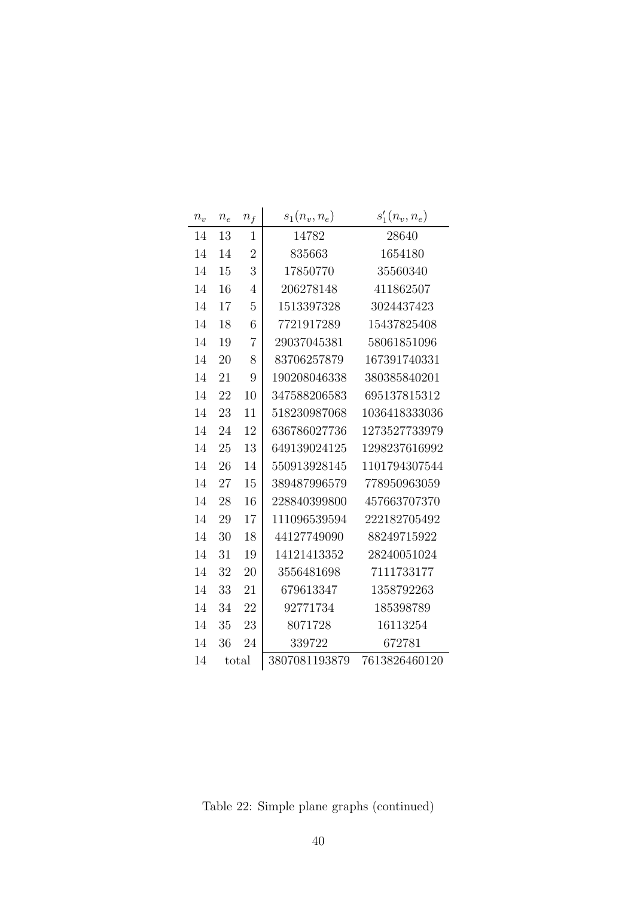| $n_v$ | $\boldsymbol{n_e}$ | $n_f$          | $s_1(n_v, n_e)$ | $s'_{1}(n_{v}, n_{e})$ |
|-------|--------------------|----------------|-----------------|------------------------|
| 14    | 13                 | $\mathbf{1}$   | 14782           | 28640                  |
| 14    | 14                 | $\overline{2}$ | 835663          | 1654180                |
| 14    | 15                 | 3              | 17850770        | 35560340               |
| 14    | 16                 | $\overline{4}$ | 206278148       | 411862507              |
| 14    | 17                 | $\overline{5}$ | 1513397328      | 3024437423             |
| 14    | 18                 | 6              | 7721917289      | 15437825408            |
| 14    | 19                 | $\overline{7}$ | 29037045381     | 58061851096            |
| 14    | 20                 | 8              | 83706257879     | 167391740331           |
| 14    | 21                 | 9              | 190208046338    | 380385840201           |
| 14    | 22                 | 10             | 347588206583    | 695137815312           |
| 14    | 23                 | 11             | 518230987068    | 1036418333036          |
| 14    | 24                 | 12             | 636786027736    | 1273527733979          |
| 14    | 25                 | 13             | 649139024125    | 1298237616992          |
| 14    | 26                 | 14             | 550913928145    | 1101794307544          |
| 14    | 27                 | 15             | 389487996579    | 778950963059           |
| 14    | 28                 | 16             | 228840399800    | 457663707370           |
| 14    | 29                 | 17             | 111096539594    | 222182705492           |
| 14    | 30                 | 18             | 44127749090     | 88249715922            |
| 14    | 31                 | 19             | 14121413352     | 28240051024            |
| 14    | 32                 | 20             | 3556481698      | 7111733177             |
| 14    | 33                 | 21             | 679613347       | 1358792263             |
| 14    | 34                 | 22             | 92771734        | 185398789              |
| 14    | 35                 | 23             | 8071728         | 16113254               |
| 14    | 36                 | 24             | 339722          | 672781                 |
| 14    |                    | total          | 3807081193879   | 7613826460120          |

Table 22: Simple plane graphs (continued)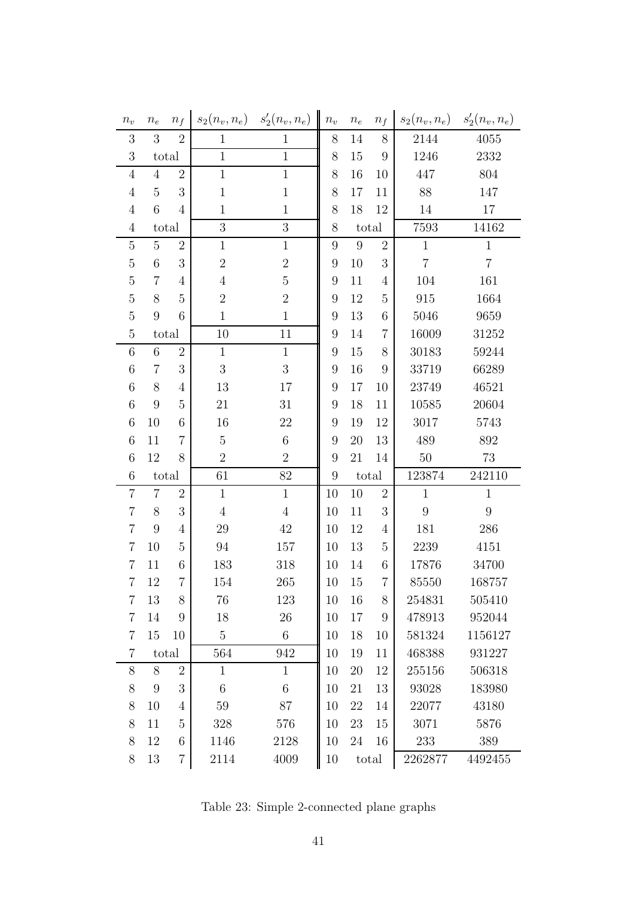| $n_v$           | $n_e$            | $n_f$          | $s_2(n_v, n_e)$ | $s'_{2}(n_{v}, n_{e})$ | $n_{\boldsymbol{v}}$ | $n_{e}$ | $n_f$           | $s_2(n_v, n_e)$ | $s'_{2}(n_{v}, n_{e})$ |
|-----------------|------------------|----------------|-----------------|------------------------|----------------------|---------|-----------------|-----------------|------------------------|
| 3               | 3                | $\overline{2}$ | $\mathbf{1}$    | $\mathbf{1}$           | 8                    | 14      | 8               | 2144            | 4055                   |
| 3               |                  | total          | $\mathbf{1}$    | $\mathbf{1}$           | 8                    | 15      | 9               | 1246            | 2332                   |
| $\overline{4}$  | $\overline{4}$   | $\overline{2}$ | $\mathbf{1}$    | $\mathbf{1}$           | 8                    | 16      | 10              | 447             | 804                    |
| $\overline{4}$  | $\overline{5}$   | 3              | $\mathbf{1}$    | $\mathbf 1$            | 8                    | 17      | 11              | 88              | 147                    |
| $\overline{4}$  | 6                | $\overline{4}$ | $\mathbf{1}$    | $\mathbf{1}$           | 8                    | 18      | 12              | 14              | 17                     |
| $\overline{4}$  |                  | total          | 3               | 3                      | 8                    |         | total           | 7593            | 14162                  |
| $\overline{5}$  | $\overline{5}$   | $\overline{2}$ | $\mathbf{1}$    | $\mathbf{1}$           | 9                    | 9       | $\overline{2}$  | $\mathbf{1}$    | $\mathbf{1}$           |
| $\overline{5}$  | $6\phantom{.}6$  | 3              | $\sqrt{2}$      | $\overline{2}$         | 9                    | 10      | 3               | $\overline{7}$  | $\overline{7}$         |
| $\overline{5}$  | $\overline{7}$   | 4              | $\overline{4}$  | $\bf 5$                | $\boldsymbol{9}$     | 11      | $\overline{4}$  | 104             | 161                    |
| $\overline{5}$  | 8                | $\overline{5}$ | $\sqrt{2}$      | $\boldsymbol{2}$       | 9                    | 12      | 5               | 915             | 1664                   |
| $\overline{5}$  | $\boldsymbol{9}$ | 6              | $\mathbf{1}$    | $\mathbf 1$            | $\boldsymbol{9}$     | 13      | 6               | 5046            | 9659                   |
| $\bf 5$         |                  | total          | 10              | 11                     | $\boldsymbol{9}$     | 14      | $\overline{7}$  | 16009           | 31252                  |
| $\,$ 6 $\,$     | $\,$ 6 $\,$      | $\overline{2}$ | $\mathbf{1}$    | $\mathbf{1}$           | $\boldsymbol{9}$     | 15      | $8\,$           | 30183           | 59244                  |
| $6\phantom{.}6$ | $\overline{7}$   | 3              | 3               | 3                      | 9                    | 16      | 9               | 33719           | 66289                  |
| 6               | 8                | 4              | 13              | 17                     | 9                    | 17      | 10              | 23749           | 46521                  |
| $\,$ 6 $\,$     | 9                | 5              | 21              | 31                     | 9                    | 18      | 11              | 10585           | 20604                  |
| $\,6$           | 10               | 6              | 16              | 22                     | $9\,$                | 19      | 12              | 3017            | 5743                   |
| 6               | 11               | $\overline{7}$ | $\overline{5}$  | $6\,$                  | $\boldsymbol{9}$     | 20      | 13              | 489             | 892                    |
| 6               | 12               | 8              | $\overline{2}$  | $\overline{2}$         | $\boldsymbol{9}$     | 21      | 14              | $50\,$          | 73                     |
| $\,6$           |                  | total          | 61              | 82                     | $\boldsymbol{9}$     |         | total           | 123874          | 242110                 |
| $\overline{7}$  | $\overline{7}$   | $\overline{2}$ | $\mathbf{1}$    | $\mathbf{1}$           | 10                   | 10      | $\overline{2}$  | $\mathbf{1}$    | $\mathbf{1}$           |
| $\overline{7}$  | 8                | 3              | $\overline{4}$  | $\overline{4}$         | 10                   | 11      | 3               | $\overline{9}$  | $9\phantom{.}$         |
| $\overline{7}$  | 9                | 4              | 29              | 42                     | 10                   | 12      | $\overline{4}$  | 181             | 286                    |
| $\overline{7}$  | 10               | $\overline{5}$ | 94              | 157                    | 10                   | 13      | $\overline{5}$  | 2239            | 4151                   |
| $\overline{7}$  | 11               | 6              | 183             | 318                    | 10                   | 14      | $6\phantom{.}6$ | 17876           | 34700                  |
| $\overline{7}$  | 12               | $\overline{7}$ | 154             | 265                    | 10                   | 15      | $\overline{7}$  | 85550           | 168757                 |
| $\overline{7}$  | 13               | 8              | 76              | 123                    | 10                   | 16      | $8\,$           | 254831          | 505410                 |
| $\overline{7}$  | 14               | 9              | 18              | 26                     | 10                   | 17      | 9               | 478913          | 952044                 |
| $\overline{7}$  | 15               | 10             | $\overline{5}$  | $6\,$                  | 10                   | 18      | 10              | 581324          | 1156127                |
| $\overline{7}$  |                  | total          | 564             | 942                    | 10                   | 19      | 11              | 468388          | 931227                 |
| 8               | 8                | $\overline{2}$ | $\mathbf{1}$    | $\mathbf{1}$           | 10                   | $20\,$  | 12              | 255156          | 506318                 |
| $8\,$           | 9                | 3              | 6               | $6\,$                  | 10                   | 21      | 13              | 93028           | 183980                 |
| 8               | 10               | $\overline{4}$ | 59              | 87                     | 10                   | 22      | 14              | 22077           | 43180                  |
| 8               | 11               | $\overline{5}$ | 328             | 576                    | 10                   | 23      | 15              | 3071            | 5876                   |
| 8               | 12               | 6              | 1146            | 2128                   | 10                   | $24\,$  | 16              | 233             | 389                    |
| 8               | 13               | $\overline{7}$ | 2114            | 4009                   | 10                   |         | total           | 2262877         | 4492455                |

Table 23: Simple 2-connected plane graphs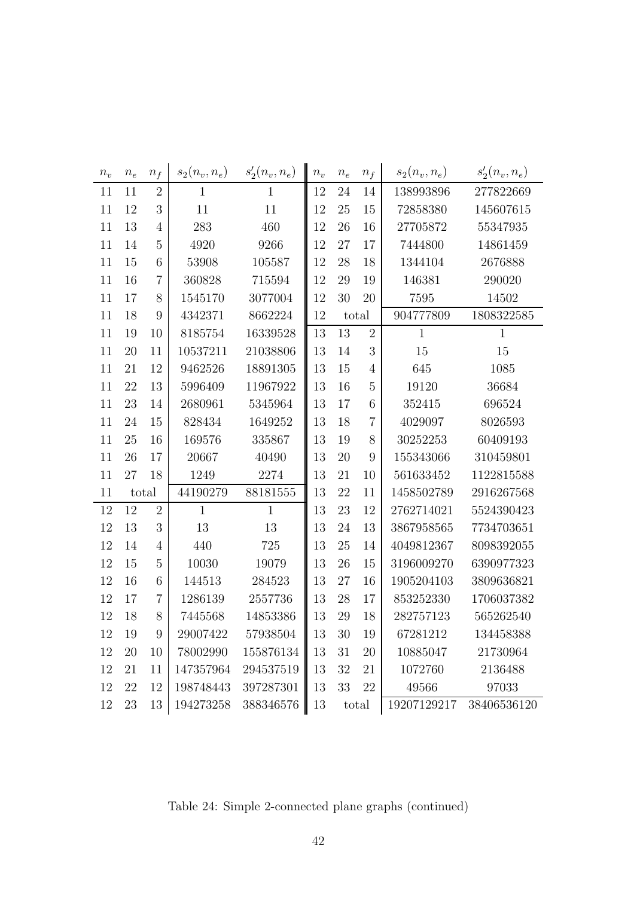| $n_{\scriptstyle v}$ | $\boldsymbol{n_e}$ | $n_f$          | $s_2(n_v, n_e)$ | $s'_{2}(n_{v}, n_{e})$ | $n_v$ | $n_{e}$ | $n_f$          | $s_2(n_v, n_e)$ | $s'_{2}(n_{v}, n_{e})$ |
|----------------------|--------------------|----------------|-----------------|------------------------|-------|---------|----------------|-----------------|------------------------|
| 11                   | 11                 | $\overline{2}$ | $\mathbf{1}$    | $\mathbf{1}$           | 12    | 24      | 14             | 138993896       | 277822669              |
| 11                   | 12                 | 3              | 11              | 11                     | 12    | 25      | 15             | 72858380        | 145607615              |
| 11                   | 13                 | $\overline{4}$ | 283             | 460                    | 12    | 26      | 16             | 27705872        | 55347935               |
| 11                   | 14                 | $\overline{5}$ | 4920            | 9266                   | 12    | 27      | 17             | 7444800         | 14861459               |
| 11                   | 15                 | 6              | 53908           | 105587                 | 12    | 28      | 18             | 1344104         | 2676888                |
| 11                   | 16                 | $\overline{7}$ | 360828          | 715594                 | 12    | 29      | 19             | 146381          | 290020                 |
| 11                   | 17                 | 8              | 1545170         | 3077004                | 12    | 30      | 20             | 7595            | 14502                  |
| 11                   | 18                 | 9              | 4342371         | 8662224                | 12    |         | total          | 904777809       | 1808322585             |
| 11                   | 19                 | 10             | 8185754         | 16339528               | 13    | 13      | $\overline{2}$ | $\mathbf{1}$    | 1                      |
| 11                   | 20                 | 11             | 10537211        | 21038806               | 13    | 14      | $\mathfrak{Z}$ | 15              | 15                     |
| 11                   | 21                 | 12             | 9462526         | 18891305               | 13    | 15      | $\overline{4}$ | 645             | 1085                   |
| 11                   | 22                 | 13             | 5996409         | 11967922               | 13    | 16      | $\overline{5}$ | 19120           | 36684                  |
| 11                   | 23                 | 14             | 2680961         | 5345964                | 13    | 17      | 6              | 352415          | 696524                 |
| 11                   | 24                 | 15             | 828434          | 1649252                | 13    | 18      | $\overline{7}$ | 4029097         | 8026593                |
| 11                   | 25                 | 16             | 169576          | 335867                 | 13    | 19      | $8\,$          | 30252253        | 60409193               |
| 11                   | 26                 | 17             | 20667           | 40490                  | 13    | 20      | $\overline{9}$ | 155343066       | 310459801              |
| 11                   | 27                 | 18             | 1249            | 2274                   | 13    | 21      | 10             | 561633452       | 1122815588             |
| 11                   |                    | total          | 44190279        | 88181555               | 13    | 22      | 11             | 1458502789      | 2916267568             |
| 12                   | 12                 | $\overline{2}$ | $\mathbf{1}$    | $\mathbf{1}$           | 13    | 23      | 12             | 2762714021      | 5524390423             |
| 12                   | 13                 | 3              | 13              | 13                     | 13    | 24      | 13             | 3867958565      | 7734703651             |
| 12                   | 14                 | $\overline{4}$ | 440             | $725\,$                | 13    | 25      | 14             | 4049812367      | 8098392055             |
| 12                   | 15                 | $\overline{5}$ | 10030           | 19079                  | 13    | 26      | 15             | 3196009270      | 6390977323             |
| 12                   | 16                 | 6              | 144513          | 284523                 | 13    | 27      | 16             | 1905204103      | 3809636821             |
| 12                   | 17                 | $\overline{7}$ | 1286139         | 2557736                | 13    | 28      | 17             | 853252330       | 1706037382             |
| 12                   | 18                 | $8\,$          | 7445568         | 14853386               | 13    | 29      | 18             | 282757123       | 565262540              |
| 12                   | 19                 | 9              | 29007422        | 57938504               | 13    | 30      | 19             | 67281212        | 134458388              |
| 12                   | 20                 | 10             | 78002990        | 155876134              | 13    | 31      | 20             | 10885047        | 21730964               |
| 12                   | 21                 | 11             | 147357964       | 294537519              | 13    | 32      | 21             | 1072760         | 2136488                |
| 12                   | 22                 | 12             | 198748443       | 397287301              | 13    | 33      | 22             | 49566           | 97033                  |
| 12                   | 23                 | 13             | 194273258       | 388346576              | 13    |         | total          | 19207129217     | 38406536120            |

Table 24: Simple 2-connected plane graphs (continued)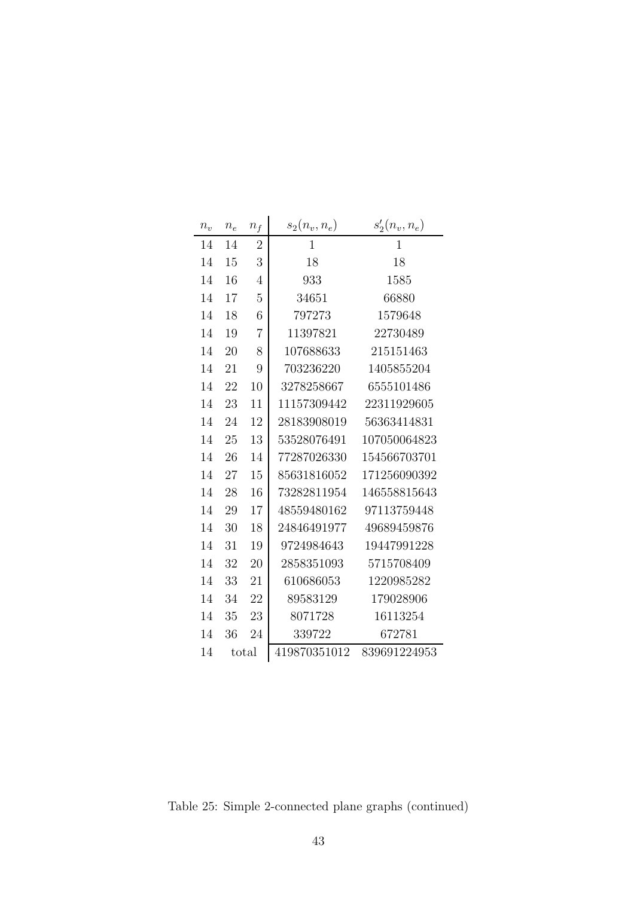| $n_v$ | $\boldsymbol{n_e}$ | $n_f$          | $s_2(n_v, n_e)$ | $s'_{2}(n_{v}, n_{e})$ |
|-------|--------------------|----------------|-----------------|------------------------|
| 14    | 14                 | $\overline{2}$ | $\mathbf{1}$    | $\mathbf{1}$           |
| 14    | 15                 | 3              | 18              | 18                     |
| 14    | 16                 | $\overline{4}$ | 933             | 1585                   |
| 14    | 17                 | $\overline{5}$ | 34651           | 66880                  |
| 14    | 18                 | 6              | 797273          | 1579648                |
| 14    | 19                 | 7              | 11397821        | 22730489               |
| 14    | 20                 | 8              | 107688633       | 215151463              |
| 14    | 21                 | 9              | 703236220       | 1405855204             |
| 14    | 22                 | 10             | 3278258667      | 6555101486             |
| 14    | 23                 | 11             | 11157309442     | 22311929605            |
| 14    | 24                 | 12             | 28183908019     | 56363414831            |
| 14    | 25                 | 13             | 53528076491     | 107050064823           |
| 14    | 26                 | 14             | 77287026330     | 154566703701           |
| 14    | 27                 | 15             | 85631816052     | 171256090392           |
| 14    | 28                 | 16             | 73282811954     | 146558815643           |
| 14    | 29                 | 17             | 48559480162     | 97113759448            |
| 14    | 30                 | 18             | 24846491977     | 49689459876            |
| 14    | 31                 | 19             | 9724984643      | 19447991228            |
| 14    | 32                 | 20             | 2858351093      | 5715708409             |
| 14    | 33                 | 21             | 610686053       | 1220985282             |
| 14    | 34                 | 22             | 89583129        | 179028906              |
| 14    | 35                 | 23             | 8071728         | 16113254               |
| 14    | 36                 | 24             | 339722          | 672781                 |
| 14    |                    | total          | 419870351012    | 839691224953           |

Table 25: Simple 2-connected plane graphs (continued)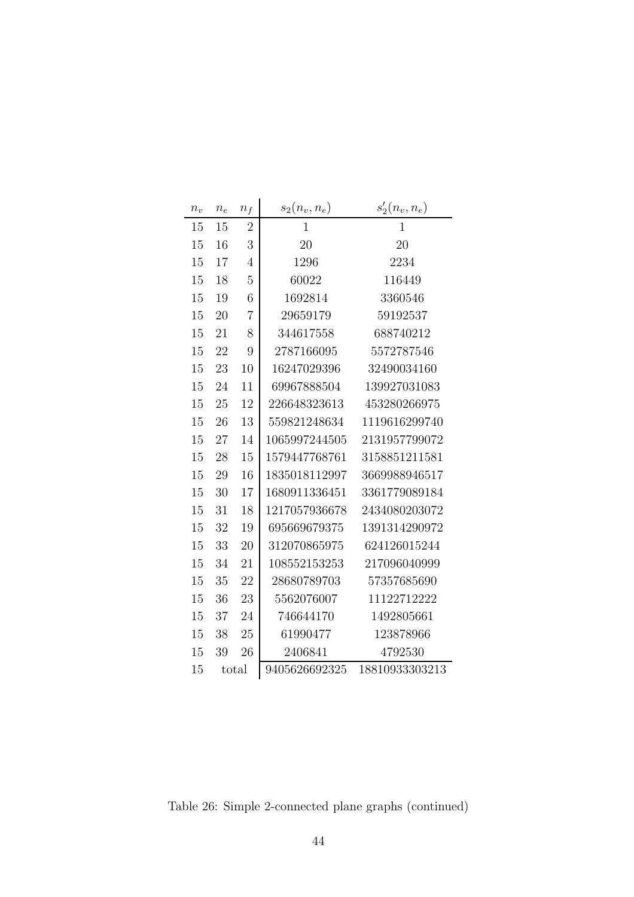| $n_{v}$ | $\boldsymbol{n_e}$ | $n_f$          | $s_2(n_v, n_e)$ | $s'_{2}(n_{v}, n_{e})$ |
|---------|--------------------|----------------|-----------------|------------------------|
| 15      | 15                 | $\overline{2}$ | $\mathbf{1}$    | $\mathbf{1}$           |
| 15      | 16                 | 3              | 20              | 20                     |
| 15      | 17                 | $\overline{4}$ | 1296            | 2234                   |
| 15      | 18                 | $\overline{5}$ | 60022           | 116449                 |
| 15      | 19                 | 6              | 1692814         | 3360546                |
| 15      | 20                 | $\overline{7}$ | 29659179        | 59192537               |
| 15      | 21                 | 8              | 344617558       | 688740212              |
| 15      | 22                 | 9              | 2787166095      | 5572787546             |
| 15      | 23                 | 10             | 16247029396     | 32490034160            |
| 15      | 24                 | 11             | 69967888504     | 139927031083           |
| 15      | 25                 | 12             | 226648323613    | 453280266975           |
| 15      | 26                 | 13             | 559821248634    | 1119616299740          |
| 15      | 27                 | 14             | 1065997244505   | 2131957799072          |
| 15      | 28                 | 15             | 1579447768761   | 3158851211581          |
| 15      | 29                 | 16             | 1835018112997   | 3669988946517          |
| 15      | 30                 | 17             | 1680911336451   | 3361779089184          |
| 15      | 31                 | 18             | 1217057936678   | 2434080203072          |
| 15      | 32                 | 19             | 695669679375    | 1391314290972          |
| 15      | 33                 | 20             | 312070865975    | 624126015244           |
| 15      | 34                 | 21             | 108552153253    | 217096040999           |
| 15      | 35                 | 22             | 28680789703     | 57357685690            |
| 15      | 36                 | 23             | 5562076007      | 11122712222            |
| 15      | 37                 | 24             | 746644170       | 1492805661             |
| 15      | 38                 | 25             | 61990477        | 123878966              |
| 15      | 39                 | 26             | 2406841         | 4792530                |
| 15      | total              |                | 9405626692325   | 18810933303213         |

Table 26: Simple 2-connected plane graphs (continued)